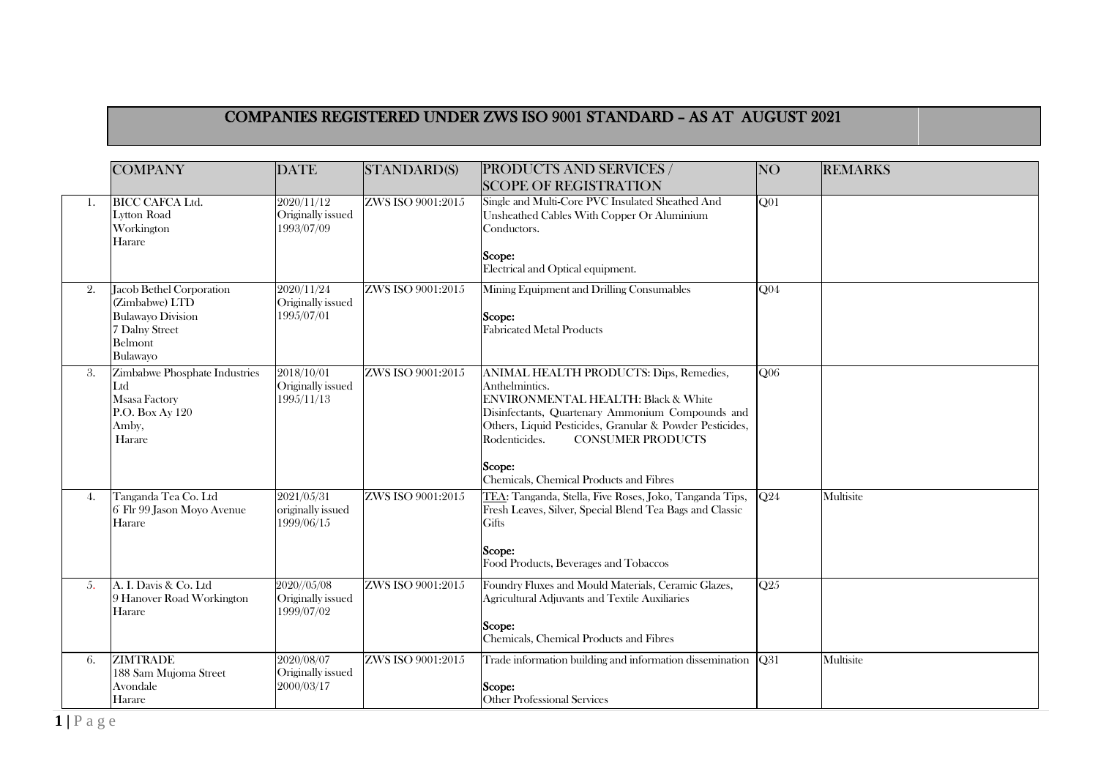## COMPANIES REGISTERED UNDER ZWS ISO 9001 STANDARD – AS AT AUGUST 2021

|     | <b>COMPANY</b>                                                                                                  | <b>DATE</b>                                    | <b>STANDARD(S)</b> | <b>PRODUCTS AND SERVICES /</b><br><b>SCOPE OF REGISTRATION</b>                                                                                                                                                                                                                                                                | NO <sub></sub>   | <b>REMARKS</b> |
|-----|-----------------------------------------------------------------------------------------------------------------|------------------------------------------------|--------------------|-------------------------------------------------------------------------------------------------------------------------------------------------------------------------------------------------------------------------------------------------------------------------------------------------------------------------------|------------------|----------------|
| 1.  | <b>BICC CAFCA Ltd.</b><br><b>Lytton Road</b><br>Workington<br>Harare                                            | 2020/11/12<br>Originally issued<br>1993/07/09  | ZWS ISO 9001:2015  | Single and Multi-Core PVC Insulated Sheathed And<br>Unsheathed Cables With Copper Or Aluminium<br>Conductors.<br>Scope:<br>Electrical and Optical equipment.                                                                                                                                                                  | Q <sub>01</sub>  |                |
| 2.  | Jacob Bethel Corporation<br>(Zimbabwe) LTD<br><b>Bulawayo Division</b><br>7 Dalny Street<br>Belmont<br>Bulawayo | 2020/11/24<br>Originally issued<br>1995/07/01  | ZWS ISO 9001:2015  | Mining Equipment and Drilling Consumables<br>Scope:<br><b>Fabricated Metal Products</b>                                                                                                                                                                                                                                       | Q04              |                |
| 3.  | Zimbabwe Phosphate Industries<br>Ltd<br>Msasa Factory<br>P.O. Box Ay 120<br>Amby,<br>Harare                     | 2018/10/01<br>Originally issued<br>1995/11/13  | ZWS ISO 9001:2015  | ANIMAL HEALTH PRODUCTS: Dips, Remedies,<br>Anthelmintics.<br><b>ENVIRONMENTAL HEALTH: Black &amp; White</b><br>Disinfectants, Quartenary Ammonium Compounds and<br>Others, Liquid Pesticides, Granular & Powder Pesticides,<br>Rodenticides.<br><b>CONSUMER PRODUCTS</b><br>Scope:<br>Chemicals, Chemical Products and Fibres | O06              |                |
| 4.  | Tanganda Tea Co. Ltd<br>6 Flr 99 Jason Moyo Avenue<br>Harare                                                    | 2021/05/31<br>originally issued<br>1999/06/15  | ZWS ISO 9001:2015  | TEA: Tanganda, Stella, Five Roses, Joko, Tanganda Tips,<br>Fresh Leaves, Silver, Special Blend Tea Bags and Classic<br>Gifts<br>Scope:<br>Food Products, Beverages and Tobaccos                                                                                                                                               | Q24              | Multisite      |
| -5. | A. I. Davis & Co. Ltd<br>9 Hanover Road Workington<br>Harare                                                    | 2020//05/08<br>Originally issued<br>1999/07/02 | ZWS ISO 9001:2015  | Foundry Fluxes and Mould Materials, Ceramic Glazes,<br>Agricultural Adjuvants and Textile Auxiliaries<br>Scope:<br>Chemicals, Chemical Products and Fibres                                                                                                                                                                    | $\overline{Q25}$ |                |
| 6.  | <b>ZIMTRADE</b><br>188 Sam Mujoma Street<br>Avondale<br>Harare                                                  | 2020/08/07<br>Originally issued<br>2000/03/17  | ZWS ISO 9001:2015  | Trade information building and information dissemination<br>Scope:<br><b>Other Professional Services</b>                                                                                                                                                                                                                      | <b>O31</b>       | Multisite      |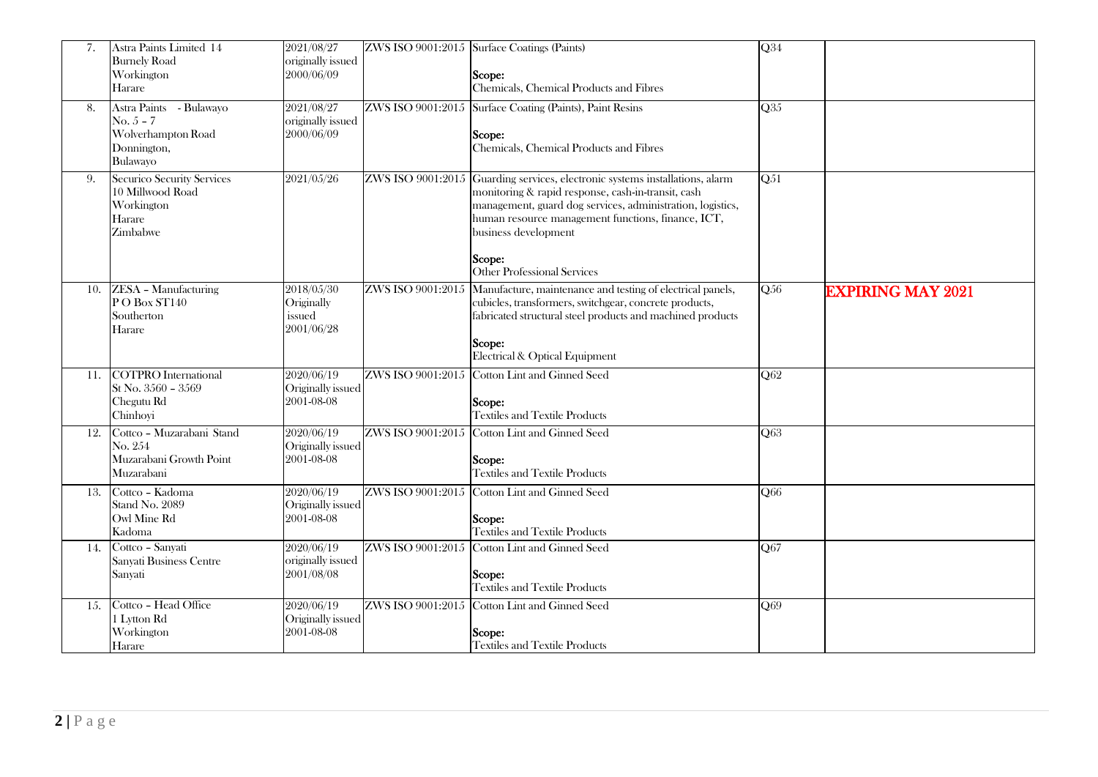| 7.  | Astra Paints Limited 14<br><b>Burnely Road</b><br>Workington<br>Harare                  | 2021/08/27<br>originally issued<br>2000/06/09    |                   | ZWS ISO 9001:2015 Surface Coatings (Paints)<br>Scope:<br>Chemicals, Chemical Products and Fibres                                                                                                                                                                                                                               | $\overline{\mathbf{Q}34}$ |                          |
|-----|-----------------------------------------------------------------------------------------|--------------------------------------------------|-------------------|--------------------------------------------------------------------------------------------------------------------------------------------------------------------------------------------------------------------------------------------------------------------------------------------------------------------------------|---------------------------|--------------------------|
| 8.  | Astra Paints - Bulawayo<br>$No. 5 - 7$<br>Wolverhampton Road<br>Donnington,<br>Bulawayo | 2021/08/27<br>originally issued<br>2000/06/09    | ZWS ISO 9001:2015 | Surface Coating (Paints), Paint Resins<br>Scope:<br>Chemicals, Chemical Products and Fibres                                                                                                                                                                                                                                    | Q35                       |                          |
| 9.  | Securico Security Services<br>10 Millwood Road<br>Workington<br>Harare<br>Zimbabwe      | 2021/05/26                                       |                   | ZWS ISO 9001:2015 Guarding services, electronic systems installations, alarm<br>monitoring & rapid response, cash-in-transit, cash<br>management, guard dog services, administration, logistics,<br>human resource management functions, finance, ICT,<br>business development<br>Scope:<br><b>Other Professional Services</b> | $\overline{Q51}$          |                          |
| 10. | <b>ZESA</b> - Manufacturing<br>PO Box ST140<br>Southerton<br>Harare                     | 2018/05/30<br>Originally<br>issued<br>2001/06/28 | ZWS ISO 9001:2015 | Manufacture, maintenance and testing of electrical panels,<br>cubicles, transformers, switchgear, concrete products,<br>fabricated structural steel products and machined products<br>Scope:<br>Electrical & Optical Equipment                                                                                                 | Q <sub>56</sub>           | <b>EXPIRING MAY 2021</b> |
|     | 11. COTPRO International<br>St No. 3560 - 3569<br>Chegutu Rd<br>Chinhoyi                | 2020/06/19<br>Originally issued<br>2001-08-08    |                   | ZWS ISO 9001:2015 Cotton Lint and Ginned Seed<br>Scope:<br><b>Textiles and Textile Products</b>                                                                                                                                                                                                                                | Q62                       |                          |
| 12. | Cottco - Muzarabani Stand<br>No. 254<br>Muzarabani Growth Point<br>Muzarabani           | 2020/06/19<br>Originally issued<br>2001-08-08    |                   | ZWS ISO 9001:2015 Cotton Lint and Ginned Seed<br>Scope:<br><b>Textiles and Textile Products</b>                                                                                                                                                                                                                                | Q63                       |                          |
| 13. | Cottco - Kadoma<br>Stand No. 2089<br>Owl Mine Rd<br>Kadoma                              | 2020/06/19<br>Originally issued<br>2001-08-08    |                   | ZWS ISO 9001:2015 Cotton Lint and Ginned Seed<br>Scope:<br><b>Textiles and Textile Products</b>                                                                                                                                                                                                                                | Q66                       |                          |
|     | 14. Cottco - Sanyati<br>Sanyati Business Centre<br>Sanyati                              | 2020/06/19<br>originally issued<br>2001/08/08    |                   | ZWS ISO 9001:2015 Cotton Lint and Ginned Seed<br>Scope:<br><b>Textiles and Textile Products</b>                                                                                                                                                                                                                                | Q67                       |                          |
| 15. | Cottco - Head Office<br>1 Lytton Rd<br>Workington<br>Harare                             | 2020/06/19<br>Originally issued<br>2001-08-08    |                   | ZWS ISO 9001:2015 Cotton Lint and Ginned Seed<br>Scope:<br><b>Textiles and Textile Products</b>                                                                                                                                                                                                                                | Q69                       |                          |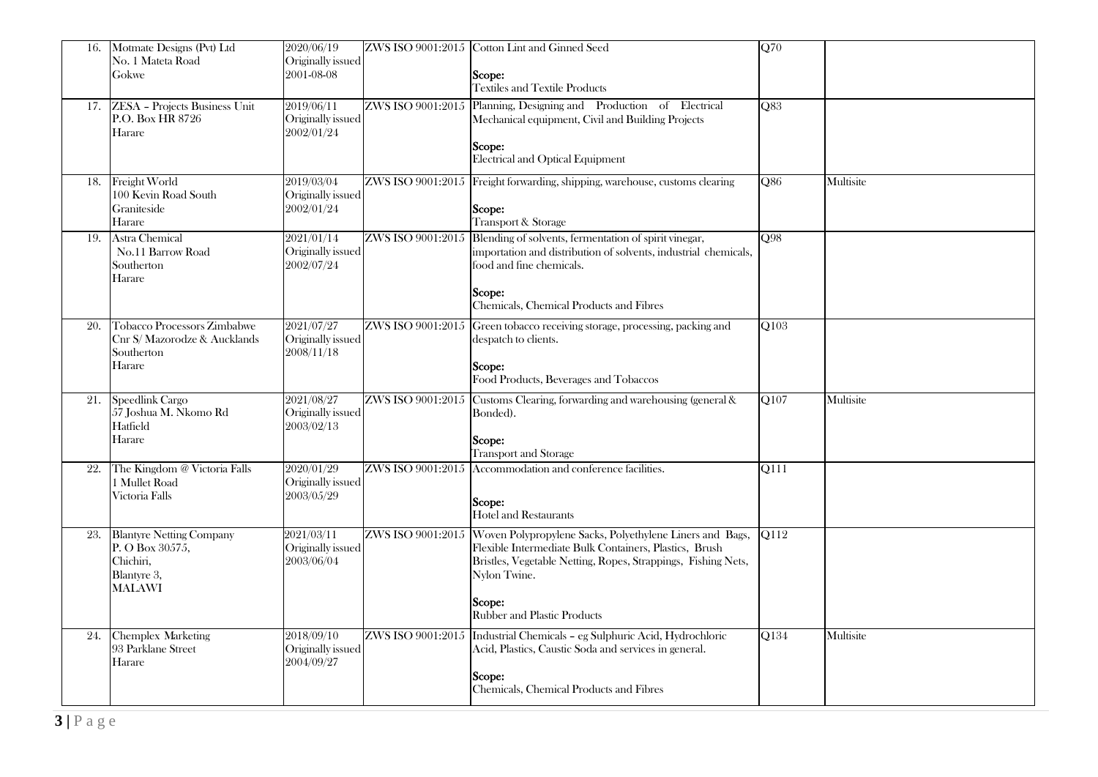| 16. | Motmate Designs (Pvt) Ltd<br>No. 1 Mateta Road<br>Gokwe                                         | 2020/06/19<br>Originally issued<br>2001-08-08 |                   | ZWS ISO 9001:2015 Cotton Lint and Ginned Seed<br>Scope:<br><b>Textiles and Textile Products</b>                                                                                                                                                                       | $\overline{Q70}$ |           |
|-----|-------------------------------------------------------------------------------------------------|-----------------------------------------------|-------------------|-----------------------------------------------------------------------------------------------------------------------------------------------------------------------------------------------------------------------------------------------------------------------|------------------|-----------|
| 17. | <b>ZESA</b> - Projects Business Unit<br>P.O. Box HR 8726<br>Harare                              | 2019/06/11<br>Originally issued<br>2002/01/24 | ZWS ISO 9001:2015 | Planning, Designing and Production of<br>Electrical<br>Mechanical equipment, Civil and Building Projects<br>Scope:<br>Electrical and Optical Equipment                                                                                                                | Q83              |           |
| 18. | Freight World<br>100 Kevin Road South<br>Graniteside<br>Harare                                  | 2019/03/04<br>Originally issued<br>2002/01/24 |                   | ZWS ISO 9001:2015 Freight forwarding, shipping, warehouse, customs clearing<br>Scope:<br>Transport & Storage                                                                                                                                                          | Q86              | Multisite |
| 19. | Astra Chemical<br>No.11 Barrow Road<br>Southerton<br>Harare                                     | 2021/01/14<br>Originally issued<br>2002/07/24 | ZWS ISO 9001:2015 | Blending of solvents, fermentation of spirit vinegar,<br>importation and distribution of solvents, industrial chemicals,<br>food and fine chemicals.<br>Scope:<br>Chemicals, Chemical Products and Fibres                                                             | O98              |           |
| 20. | <b>Tobacco Processors Zimbabwe</b><br>Cnr S/ Mazorodze & Aucklands<br>Southerton<br>Harare      | 2021/07/27<br>Originally issued<br>2008/11/18 |                   | ZWS ISO 9001:2015 Green tobacco receiving storage, processing, packing and<br>despatch to clients.<br>Scope:<br>Food Products, Beverages and Tobaccos                                                                                                                 | Q103             |           |
| 21. | Speedlink Cargo<br>57 Joshua M. Nkomo Rd<br>Hatfield<br>Harare                                  | 2021/08/27<br>Originally issued<br>2003/02/13 | ZWS ISO 9001:2015 | Customs Clearing, forwarding and warehousing (general &<br>Bonded).<br>Scope:<br><b>Transport and Storage</b>                                                                                                                                                         | Q107             | Multisite |
| 22. | The Kingdom @ Victoria Falls<br>1 Mullet Road<br>Victoria Falls                                 | 2020/01/29<br>Originally issued<br>2003/05/29 | ZWS ISO 9001:2015 | Accommodation and conference facilities.<br>Scope:<br><b>Hotel and Restaurants</b>                                                                                                                                                                                    | Q111             |           |
| 23. | <b>Blantyre Netting Company</b><br>P. O Box 30575,<br>Chichiri,<br>Blantyre 3,<br><b>MALAWI</b> | 2021/03/11<br>Originally issued<br>2003/06/04 |                   | ZWS ISO 9001:2015 Woven Polypropylene Sacks, Polyethylene Liners and Bags,<br>Flexible Intermediate Bulk Containers, Plastics, Brush<br>Bristles, Vegetable Netting, Ropes, Strappings, Fishing Nets,<br>Nylon Twine.<br>Scope:<br><b>Rubber and Plastic Products</b> | Q112             |           |
| 24. | <b>Chemplex Marketing</b><br>93 Parklane Street<br>Harare                                       | 2018/09/10<br>Originally issued<br>2004/09/27 | ZWS ISO 9001:2015 | Industrial Chemicals - eg Sulphuric Acid, Hydrochloric<br>Acid, Plastics, Caustic Soda and services in general.<br>Scope:<br>Chemicals, Chemical Products and Fibres                                                                                                  | Q134             | Multisite |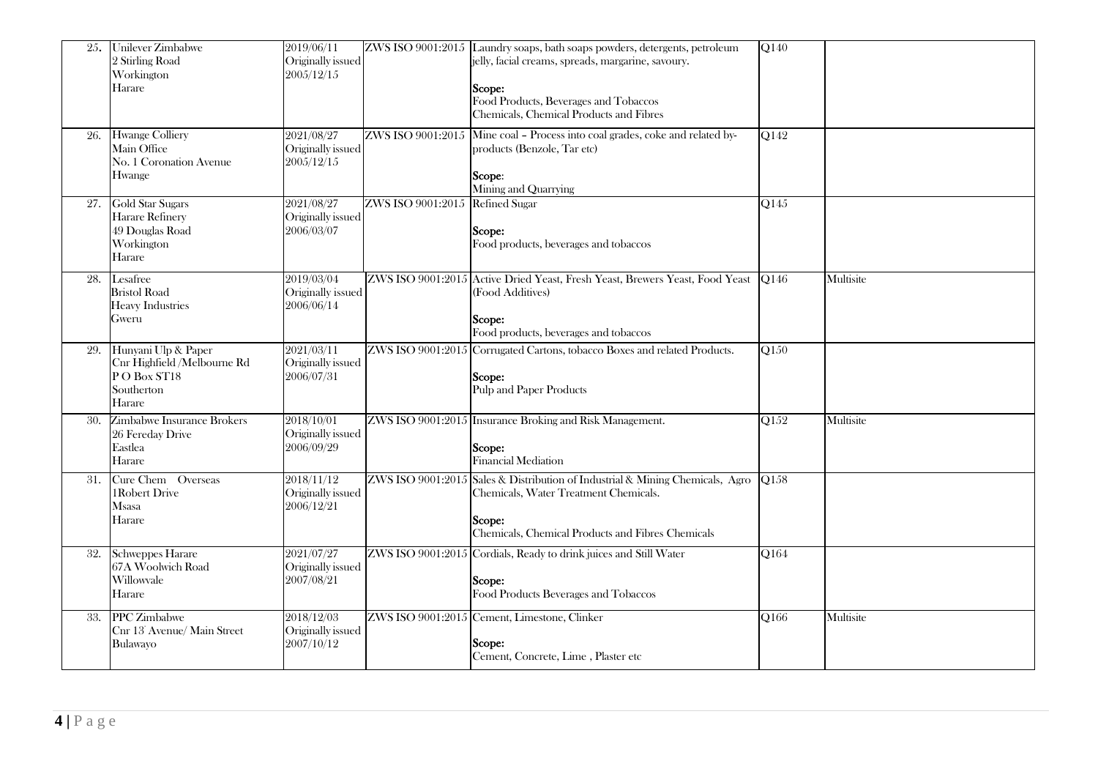| 25. | Unilever Zimbabwe<br>2 Stirling Road<br>Workington<br>Harare                              | 2019/06/11<br>Originally issued<br>2005/12/15 |                   | ZWS ISO 9001:2015 Laundry soaps, bath soaps powders, detergents, petroleum<br>jelly, facial creams, spreads, margarine, savoury.<br>Scope:<br>Food Products, Beverages and Tobaccos<br>Chemicals, Chemical Products and Fibres | Q140 |           |
|-----|-------------------------------------------------------------------------------------------|-----------------------------------------------|-------------------|--------------------------------------------------------------------------------------------------------------------------------------------------------------------------------------------------------------------------------|------|-----------|
| 26. | <b>Hwange Colliery</b><br>Main Office<br>No. 1 Coronation Avenue<br>Hwange                | 2021/08/27<br>Originally issued<br>2005/12/15 | ZWS ISO 9001:2015 | Mine coal - Process into coal grades, coke and related by-<br>products (Benzole, Tar etc)<br>Scope:<br>Mining and Quarrying                                                                                                    | Q142 |           |
| 27. | Gold Star Sugars<br>Harare Refinery<br>49 Douglas Road<br>Workington<br>Harare            | 2021/08/27<br>Originally issued<br>2006/03/07 | ZWS ISO 9001:2015 | <b>Refined Sugar</b><br>Scope:<br>Food products, beverages and tobaccos                                                                                                                                                        | Q145 |           |
| 28. | Lesafree<br><b>Bristol Road</b><br><b>Heavy Industries</b><br>Gweru                       | 2019/03/04<br>Originally issued<br>2006/06/14 |                   | ZWS ISO 9001:2015 Active Dried Yeast, Fresh Yeast, Brewers Yeast, Food Yeast<br>(Food Additives)<br>Scope:<br>Food products, beverages and tobaccos                                                                            | O146 | Multisite |
| 29. | Hunyani Ulp & Paper<br>Cnr Highfield /Melbourne Rd<br>PO Box ST18<br>Southerton<br>Harare | 2021/03/11<br>Originally issued<br>2006/07/31 |                   | ZWS ISO 9001:2015 Corrugated Cartons, tobacco Boxes and related Products.<br>Scope:<br><b>Pulp and Paper Products</b>                                                                                                          | Q150 |           |
| 30. | <b>Zimbabwe Insurance Brokers</b><br>26 Fereday Drive<br>Eastlea<br>Harare                | 2018/10/01<br>Originally issued<br>2006/09/29 |                   | ZWS ISO 9001:2015 Insurance Broking and Risk Management.<br>Scope:<br>Financial Mediation                                                                                                                                      | Q152 | Multisite |
| 31. | Cure Chem Overseas<br>1Robert Drive<br>Msasa<br>Harare                                    | 2018/11/12<br>Originally issued<br>2006/12/21 |                   | ZWS ISO 9001:2015 Sales & Distribution of Industrial & Mining Chemicals, Agro<br>Chemicals, Water Treatment Chemicals.<br>Scope:<br>Chemicals, Chemical Products and Fibres Chemicals                                          | Q158 |           |
| 32. | Schweppes Harare<br>67A Woolwich Road<br>Willowvale<br>Harare                             | 2021/07/27<br>Originally issued<br>2007/08/21 |                   | ZWS ISO 9001:2015 Cordials, Ready to drink juices and Still Water<br>Scope:<br>Food Products Beverages and Tobaccos                                                                                                            | Q164 |           |
| 33. | <b>PPC</b> Zimbabwe<br>Cnr 13 <sup>*</sup> Avenue/ Main Street<br>Bulawayo                | 2018/12/03<br>Originally issued<br>2007/10/12 |                   | ZWS ISO 9001:2015 Cement, Limestone, Clinker<br>Scope:<br>Cement, Concrete, Lime, Plaster etc                                                                                                                                  | Q166 | Multisite |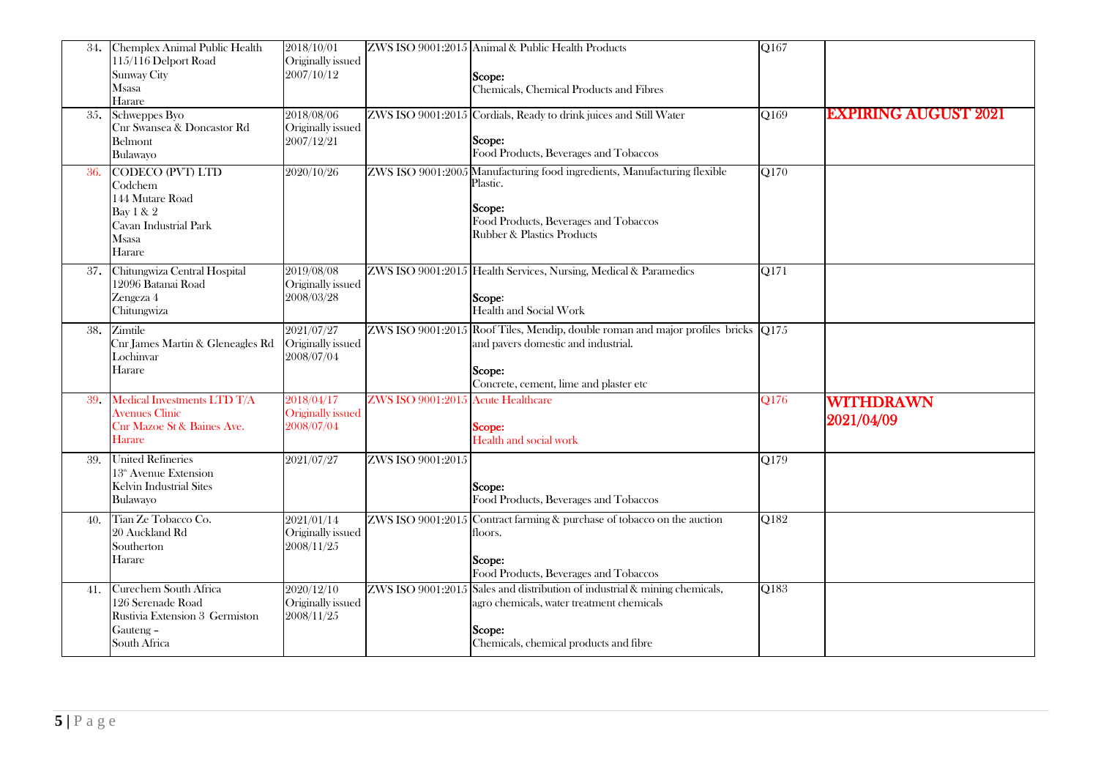| 34. | Chemplex Animal Public Health<br>115/116 Delport Road<br><b>Sunway City</b><br>Msasa<br>Harare                 | 2018/10/01<br>Originally issued<br>2007/10/12 |                                    | ZWS ISO 9001:2015 Animal & Public Health Products<br>Scope:<br>Chemicals, Chemical Products and Fibres                                                                           | $\overline{Q167}$ |                             |
|-----|----------------------------------------------------------------------------------------------------------------|-----------------------------------------------|------------------------------------|----------------------------------------------------------------------------------------------------------------------------------------------------------------------------------|-------------------|-----------------------------|
| 35. | Schweppes Byo<br>Cnr Swansea & Doncastor Rd<br>Belmont<br>Bulawayo                                             | 2018/08/06<br>Originally issued<br>2007/12/21 |                                    | ZWS ISO 9001:2015 Cordials, Ready to drink juices and Still Water<br>Scope:<br>Food Products, Beverages and Tobaccos                                                             | Q169              | <b>EXPIRING AUGUST 2021</b> |
| 36. | CODECO (PVT) LTD<br>Codchem<br>144 Mutare Road<br>Bay 1 & 2<br>Cavan Industrial Park<br><b>Msasa</b><br>Harare | 2020/10/26                                    |                                    | ZWS ISO 9001:2005 Manufacturing food ingredients, Manufacturing flexible<br>Plastic.<br>Scope:<br>Food Products, Beverages and Tobaccos<br><b>Rubber &amp; Plastics Products</b> | Q170              |                             |
|     | 37. Chitungwiza Central Hospital<br>12096 Batanai Road<br>Zengeza 4<br>Chitungwiza                             | 2019/08/08<br>Originally issued<br>2008/03/28 |                                    | ZWS ISO 9001:2015 Health Services, Nursing, Medical & Paramedics<br>Scope:<br>Health and Social Work                                                                             | Q171              |                             |
| 38. | Zimtile<br>Cnr James Martin & Gleneagles Rd<br>Lochinvar<br>Harare                                             | 2021/07/27<br>Originally issued<br>2008/07/04 |                                    | ZWS ISO 9001:2015 Roof Tiles, Mendip, double roman and major profiles bricks Q175<br>and pavers domestic and industrial.<br>Scope:<br>Concrete, cement, lime and plaster etc     |                   |                             |
| 39. | Medical Investments LTD T/A<br><b>Avenues Clinic</b><br>Cnr Mazoe St & Baines Ave.<br>Harare                   | 2018/04/17<br>Originally issued<br>2008/07/04 | ZWS ISO 9001:2015 Acute Healthcare | Scope:<br>Health and social work                                                                                                                                                 | Q176              | WITHDRAWN<br>2021/04/09     |
| 39. | <b>United Refineries</b><br>$13th$ Avenue Extension<br>Kelvin Industrial Sites<br>Bulawayo                     | 2021/07/27                                    | ZWS ISO 9001:2015                  | Scope:<br>Food Products, Beverages and Tobaccos                                                                                                                                  | Q179              |                             |
| 40. | Tian Ze Tobacco Co.<br>20 Auckland Rd<br>Southerton<br>Harare                                                  | 2021/01/14<br>Originally issued<br>2008/11/25 |                                    | $ZWS$ ISO 9001:2015 Contract farming & purchase of tobacco on the auction<br>floors.<br>Scope:<br>Food Products, Beverages and Tobaccos                                          | Q182              |                             |
| 41. | Curechem South Africa<br>126 Serenade Road<br>Rustivia Extension 3 Germiston<br>Gauteng -<br>South Africa      | 2020/12/10<br>Originally issued<br>2008/11/25 |                                    | ZWS ISO 9001:2015 Sales and distribution of industrial & mining chemicals,<br>agro chemicals, water treatment chemicals<br>Scope:<br>Chemicals, chemical products and fibre      | Q183              |                             |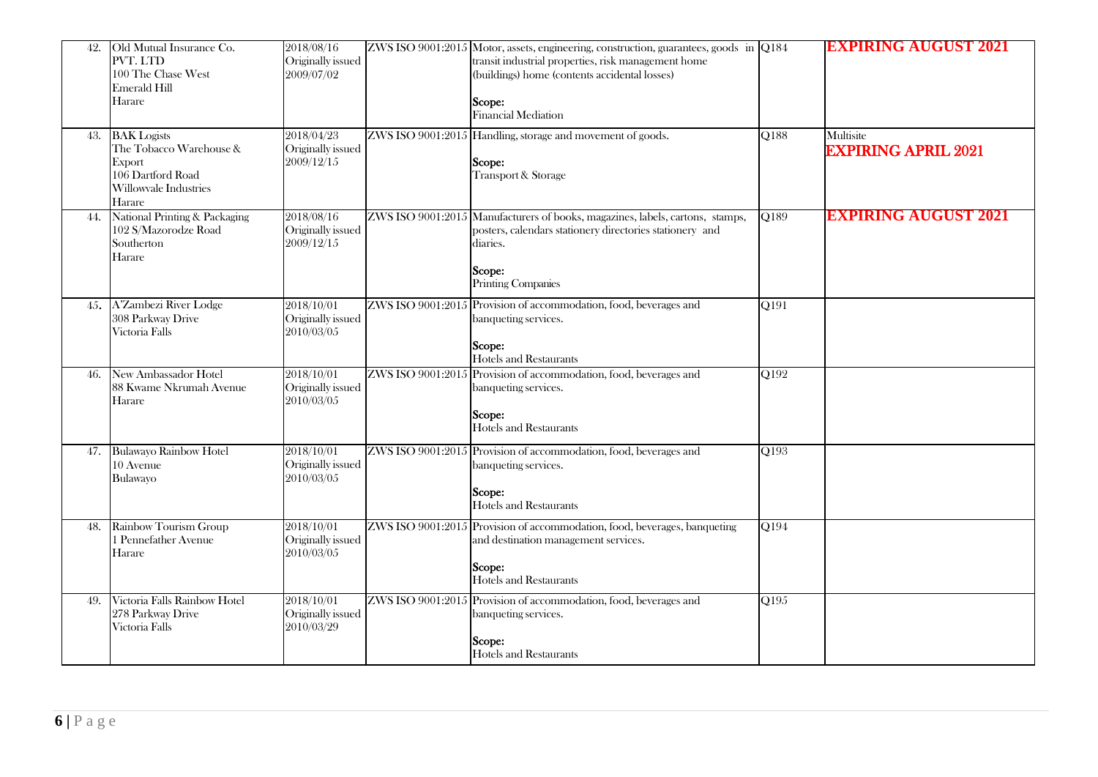| 42. | Old Mutual Insurance Co.<br>PVT. LTD<br>100 The Chase West<br>Emerald Hill<br>Harare                            | 2018/08/16<br>Originally issued<br>2009/07/02 | ZWS ISO 9001:2015 Motor, assets, engineering, construction, guarantees, goods in Q184<br>transit industrial properties, risk management home<br>(buildings) home (contents accidental losses)<br>Scope:<br><b>Financial Mediation</b> |                    | <b>EXPIRING AUGUST 2021</b>             |
|-----|-----------------------------------------------------------------------------------------------------------------|-----------------------------------------------|---------------------------------------------------------------------------------------------------------------------------------------------------------------------------------------------------------------------------------------|--------------------|-----------------------------------------|
| 43. | <b>BAK</b> Logists<br>The Tobacco Warehouse &<br>Export<br>106 Dartford Road<br>Willowvale Industries<br>Harare | 2018/04/23<br>Originally issued<br>2009/12/15 | ZWS ISO 9001:2015 Handling, storage and movement of goods.<br>Scope:<br>Transport & Storage                                                                                                                                           | Q188               | Multisite<br><b>EXPIRING APRIL 2021</b> |
| 44. | National Printing & Packaging<br>102 S/Mazorodze Road<br>Southerton<br>Harare                                   | 2018/08/16<br>Originally issued<br>2009/12/15 | ZWS ISO 9001:2015 Manufacturers of books, magazines, labels, cartons, stamps,<br>posters, calendars stationery directories stationery and<br>diaries.<br>Scope:<br>Printing Companies                                                 | $\overline{Q}$ 189 | BXPIRING AUGUST                         |
|     | 45. A'Zambezi River Lodge<br>308 Parkway Drive<br>Victoria Falls                                                | 2018/10/01<br>Originally issued<br>2010/03/05 | ZWS ISO 9001:2015 Provision of accommodation, food, beverages and<br>banqueting services.<br>Scope:<br><b>Hotels and Restaurants</b>                                                                                                  | $\overline{Q191}$  |                                         |
| 46. | New Ambassador Hotel<br>88 Kwame Nkrumah Avenue<br>Harare                                                       | 2018/10/01<br>Originally issued<br>2010/03/05 | ZWS ISO 9001:2015 Provision of accommodation, food, beverages and<br>banqueting services.<br>Scope:<br><b>Hotels and Restaurants</b>                                                                                                  | Q192               |                                         |
| 47. | <b>Bulawayo Rainbow Hotel</b><br>10 Avenue<br>Bulawayo                                                          | 2018/10/01<br>Originally issued<br>2010/03/05 | ZWS ISO 9001:2015 Provision of accommodation, food, beverages and<br>banqueting services.<br>Scope:<br><b>Hotels and Restaurants</b>                                                                                                  | Q193               |                                         |
| 48. | Rainbow Tourism Group<br>1 Pennefather Avenue<br>Harare                                                         | 2018/10/01<br>Originally issued<br>2010/03/05 | ZWS ISO 9001:2015 Provision of accommodation, food, beverages, banqueting<br>and destination management services.<br>Scope:<br>Hotels and Restaurants                                                                                 | Q194               |                                         |
| 49. | Victoria Falls Rainbow Hotel<br>278 Parkway Drive<br>Victoria Falls                                             | 2018/10/01<br>Originally issued<br>2010/03/29 | ZWS ISO 9001:2015 Provision of accommodation, food, beverages and<br>banqueting services.<br>Scope:<br>Hotels and Restaurants                                                                                                         | Q195               |                                         |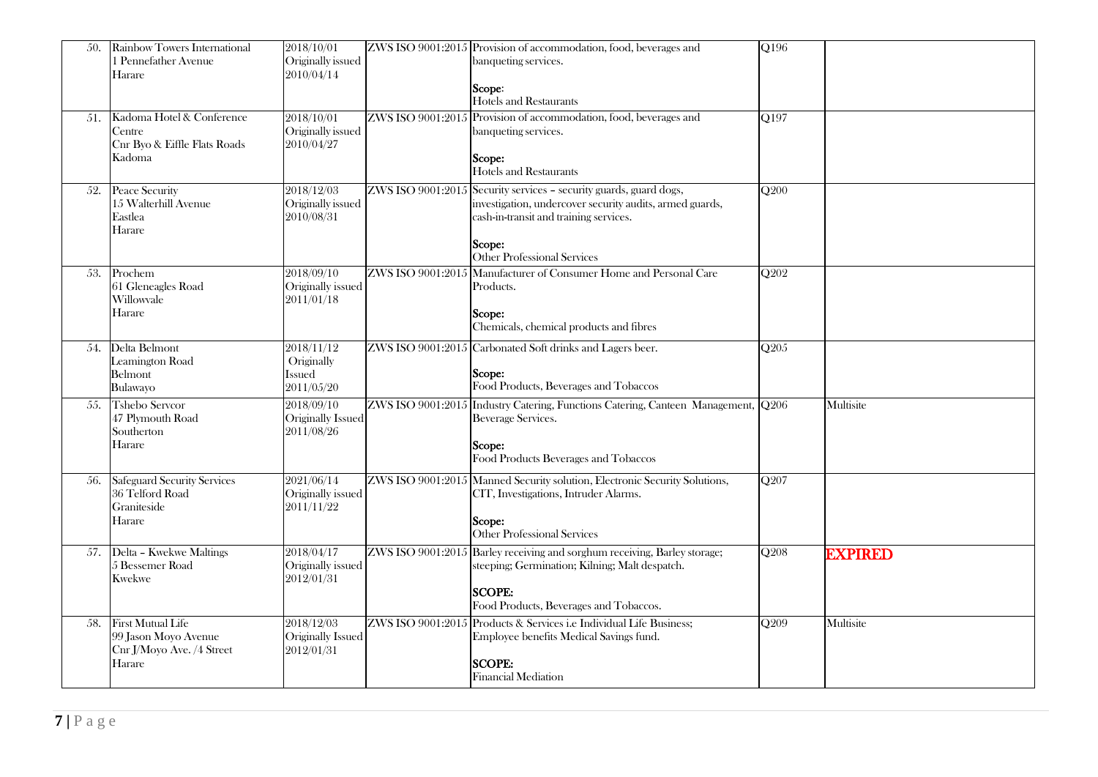| 50. | Rainbow Towers International<br>1 Pennefather Avenue<br>Harare                   | 2018/10/01<br>Originally issued<br>2010/04/14    |                   | ZWS ISO 9001:2015 Provision of accommodation, food, beverages and<br>banqueting services.<br>Scope:<br><b>Hotels and Restaurants</b>                                                                   | Q196                          |                |
|-----|----------------------------------------------------------------------------------|--------------------------------------------------|-------------------|--------------------------------------------------------------------------------------------------------------------------------------------------------------------------------------------------------|-------------------------------|----------------|
| 51. | Kadoma Hotel & Conference<br>Centre<br>Cnr Byo & Eiffle Flats Roads<br>Kadoma    | 2018/10/01<br>Originally issued<br>2010/04/27    |                   | ZWS ISO 9001:2015 Provision of accommodation, food, beverages and<br>banqueting services.<br>Scope:<br>Hotels and Restaurants                                                                          | Q197                          |                |
| 52. | <b>Peace Security</b><br>15 Walterhill Avenue<br>Eastlea<br>Harare               | 2018/12/03<br>Originally issued<br>2010/08/31    | ZWS ISO 9001:2015 | Security services - security guards, guard dogs,<br>investigation, undercover security audits, armed guards,<br>cash-in-transit and training services.<br>Scope:<br><b>Other Professional Services</b> | $\overline{Q200}$             |                |
| 53. | Prochem<br>61 Gleneagles Road<br>Willowvale<br>Harare                            | 2018/09/10<br>Originally issued<br>2011/01/18    | ZWS ISO 9001:2015 | Manufacturer of Consumer Home and Personal Care<br>Products.<br>Scope:<br>Chemicals, chemical products and fibres                                                                                      | O <sub>2</sub> 0 <sub>2</sub> |                |
| 54. | Delta Belmont<br>Leamington Road<br>Belmont<br><b>Bulawayo</b>                   | 2018/11/12<br>Originally<br>Issued<br>2011/05/20 |                   | ZWS ISO 9001:2015 Carbonated Soft drinks and Lagers beer.<br>Scope:<br>Food Products, Beverages and Tobaccos                                                                                           | Q205                          |                |
| 55. | <b>Tshebo Servcor</b><br>47 Plymouth Road<br>Southerton<br>Harare                | 2018/09/10<br>Originally Issued<br>2011/08/26    |                   | ZWS ISO 9001:2015 Industry Catering, Functions Catering, Canteen Management, Q206<br>Beverage Services.<br>Scope:<br>Food Products Beverages and Tobaccos                                              |                               | Multisite      |
| 56. | <b>Safeguard Security Services</b><br>36 Telford Road<br>Graniteside<br>Harare   | 2021/06/14<br>Originally issued<br>2011/11/22    |                   | ZWS ISO 9001:2015 Manned Security solution, Electronic Security Solutions,<br>CIT, Investigations, Intruder Alarms.<br>Scope:<br>Other Professional Services                                           | Q207                          |                |
|     | 57. Delta - Kwekwe Maltings<br>5 Bessemer Road<br><b>Kwekwe</b>                  | 2018/04/17<br>Originally issued<br>2012/01/31    |                   | ZWS ISO 9001:2015 Barley receiving and sorghum receiving, Barley storage;<br>steeping; Germination; Kilning; Malt despatch.<br><b>SCOPE:</b><br>Food Products, Beverages and Tobaccos.                 | Q208                          | <b>EXPIRED</b> |
| 58. | First Mutual Life<br>99 Jason Moyo Avenue<br>Cnr J/Moyo Ave. /4 Street<br>Harare | 2018/12/03<br>Originally Issued<br>2012/01/31    | ZWS ISO 9001:2015 | Products & Services i.e Individual Life Business;<br>Employee benefits Medical Savings fund.<br><b>SCOPE:</b><br><b>Financial Mediation</b>                                                            | Q209                          | Multisite      |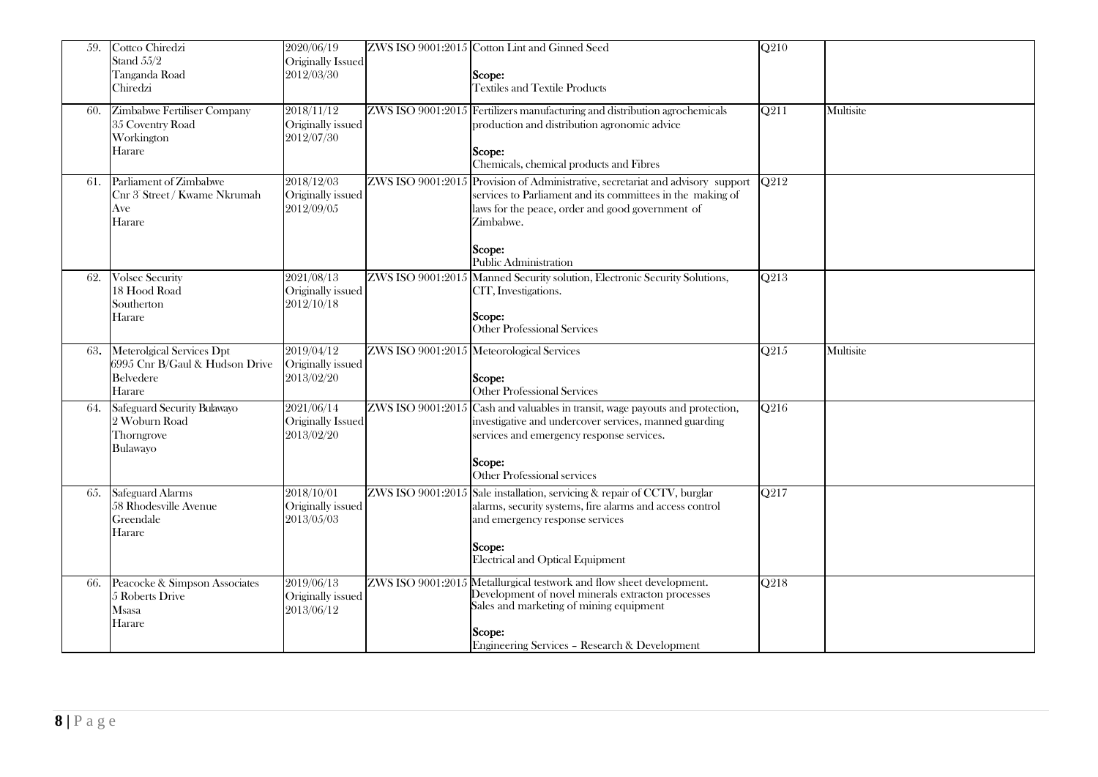| 59. | Cottco Chiredzi<br>Stand 55/2<br>Tanganda Road<br>Chiredzi                                | 2020/06/19<br>Originally Issued<br>2012/03/30 |                   | ZWS ISO 9001:2015 Cotton Lint and Ginned Seed<br>Scope:<br><b>Textiles and Textile Products</b>                                                                                                                                 | $\overline{Q210}$ |           |
|-----|-------------------------------------------------------------------------------------------|-----------------------------------------------|-------------------|---------------------------------------------------------------------------------------------------------------------------------------------------------------------------------------------------------------------------------|-------------------|-----------|
| 60. | <b>Zimbabwe Fertiliser Company</b><br>35 Coventry Road<br>Workington<br>Harare            | 2018/11/12<br>Originally issued<br>2012/07/30 |                   | ZWS ISO 9001:2015 Fertilizers manufacturing and distribution agrochemicals<br>production and distribution agronomic advice<br>Scope:<br>Chemicals, chemical products and Fibres                                                 | Q211              | Multisite |
| 61. | Parliament of Zimbabwe<br>Cnr 3 <sup>e</sup> Street / Kwame Nkrumah<br>Ave<br>Harare      | 2018/12/03<br>Originally issued<br>2012/09/05 | ZWS ISO 9001:2015 | Provision of Administrative, secretariat and advisory support<br>services to Parliament and its committees in the making of<br>laws for the peace, order and good government of<br>Zimbabwe.<br>Scope:<br>Public Administration | $\overline{Q212}$ |           |
| 62. | <b>Volsec Security</b><br>18 Hood Road<br>Southerton<br>Harare                            | 2021/08/13<br>Originally issued<br>2012/10/18 |                   | ZWS ISO 9001:2015 Manned Security solution, Electronic Security Solutions,<br>CIT, Investigations.<br>Scope:<br>Other Professional Services                                                                                     | Q213              |           |
| 63. | Meterolgical Services Dpt<br>6995 Cnr B/Gaul & Hudson Drive<br><b>Belvedere</b><br>Harare | 2019/04/12<br>Originally issued<br>2013/02/20 |                   | ZWS ISO 9001:2015 Meteorological Services<br>Scope:<br>Other Professional Services                                                                                                                                              | O <sub>215</sub>  | Multisite |
| 64. | Safeguard Security Bulawayo<br>2 Woburn Road<br>Thorngrove<br>Bulawayo                    | 2021/06/14<br>Originally Issued<br>2013/02/20 | ZWS ISO 9001:2015 | Cash and valuables in transit, wage payouts and protection,<br>investigative and undercover services, manned guarding<br>services and emergency response services.<br>Scope:<br>Other Professional services                     | Q216              |           |
| 65. | Safeguard Alarms<br>58 Rhodesville Avenue<br>Greendale<br>Harare                          | 2018/10/01<br>Originally issued<br>2013/05/03 | ZWS ISO 9001:2015 | Sale installation, servicing & repair of CCTV, burglar<br>alarms, security systems, fire alarms and access control<br>and emergency response services<br>Scope:<br>Electrical and Optical Equipment                             | O <sub>2</sub> 17 |           |
| 66. | Peacocke & Simpson Associates<br>5 Roberts Drive<br><b>Msasa</b><br>Harare                | 2019/06/13<br>Originally issued<br>2013/06/12 |                   | ZWS ISO 9001:2015 Metallurgical testwork and flow sheet development.<br>Development of novel minerals extracton processes<br>Sales and marketing of mining equipment<br>Scope:<br>Engineering Services - Research & Development | Q218              |           |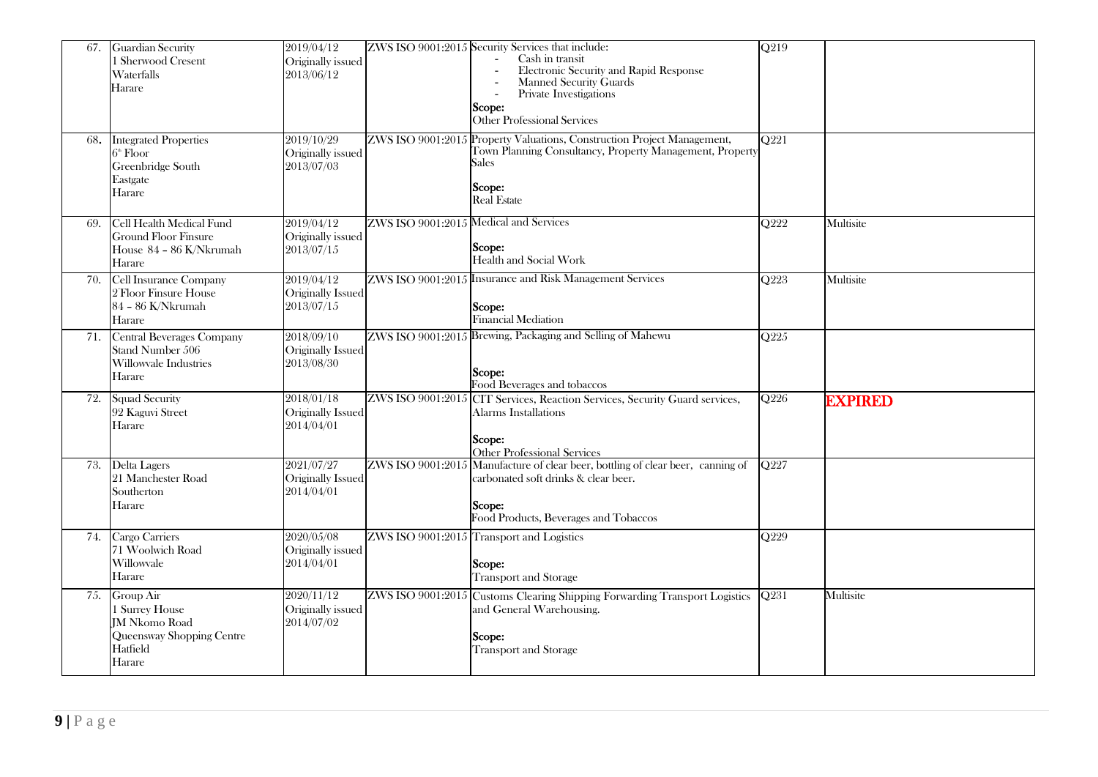| 67. | <b>Guardian Security</b><br>1 Sherwood Cresent<br>Waterfalls<br>Harare                                 | 2019/04/12<br>Originally issued<br>2013/06/12 |                                        | ZWS ISO 9001:2015 Security Services that include:<br>Cash in transit<br>Electronic Security and Rapid Response<br>Manned Security Guards<br>Private Investigations<br>Scope:<br><b>Other Professional Services</b> | $\overline{Q219}$ |                |
|-----|--------------------------------------------------------------------------------------------------------|-----------------------------------------------|----------------------------------------|--------------------------------------------------------------------------------------------------------------------------------------------------------------------------------------------------------------------|-------------------|----------------|
| 68. | <b>Integrated Properties</b><br>$6^{\circ}$ Floor<br>Greenbridge South<br>Eastgate<br>Harare           | 2019/10/29<br>Originally issued<br>2013/07/03 |                                        | ZWS ISO 9001:2015 Property Valuations, Construction Project Management,<br>Town Planning Consultancy, Property Management, Property<br>Sales<br>Scope:<br><b>Real Estate</b>                                       | $\overline{O221}$ |                |
| 69. | Cell Health Medical Fund<br><b>Ground Floor Finsure</b><br>House 84 - 86 K/Nkrumah<br>Harare           | 2019/04/12<br>Originally issued<br>2013/07/15 | ZWS ISO 9001:2015 Medical and Services | Scope:<br>Health and Social Work                                                                                                                                                                                   | $\overline{O222}$ | Multisite      |
| 70. | <b>Cell Insurance Company</b><br>2 Floor Finsure House<br>84 - 86 K/Nkrumah<br>Harare                  | 2019/04/12<br>Originally Issued<br>2013/07/15 |                                        | ZWS ISO 9001:2015 Insurance and Risk Management Services<br>Scope:<br>Financial Mediation                                                                                                                          | O <sub>223</sub>  | Multisite      |
| 71. | Central Beverages Company<br>Stand Number 506<br>Willowvale Industries<br>Harare                       | 2018/09/10<br>Originally Issued<br>2013/08/30 |                                        | ZWS ISO 9001:2015 Brewing, Packaging and Selling of Mahewu<br>Scope:<br>Food Beverages and tobaccos                                                                                                                | Q225              |                |
| 72. | <b>Squad Security</b><br>92 Kaguvi Street<br>Harare                                                    | 2018/01/18<br>Originally Issued<br>2014/04/01 |                                        | ZWS ISO 9001:2015 CIT Services, Reaction Services, Security Guard services,<br>Alarms Installations<br>Scope:<br>Other Professional Services                                                                       | O226              | <b>EXPIRED</b> |
| 73. | Delta Lagers<br>21 Manchester Road<br>Southerton<br>Harare                                             | 2021/07/27<br>Originally Issued<br>2014/04/01 |                                        | ZWS ISO 9001:2015 Manufacture of clear beer, bottling of clear beer, canning of<br>carbonated soft drinks & clear beer.<br>Scope:<br>Food Products, Beverages and Tobaccos                                         | Q227              |                |
|     | 74. Cargo Carriers<br>71 Woolwich Road<br>Willowvale<br>Harare                                         | 2020/05/08<br>Originally issued<br>2014/04/01 |                                        | ZWS ISO 9001:2015 Transport and Logistics<br>Scope:<br><b>Transport and Storage</b>                                                                                                                                | O <sub>229</sub>  |                |
| 75. | Group Air<br>1 Surrey House<br><b>JM Nkomo Road</b><br>Queensway Shopping Centre<br>Hatfield<br>Harare | 2020/11/12<br>Originally issued<br>2014/07/02 |                                        | ZWS ISO 9001:2015 Customs Clearing Shipping Forwarding Transport Logistics<br>and General Warehousing.<br>Scope:<br><b>Transport and Storage</b>                                                                   | O <sub>231</sub>  | Multisite      |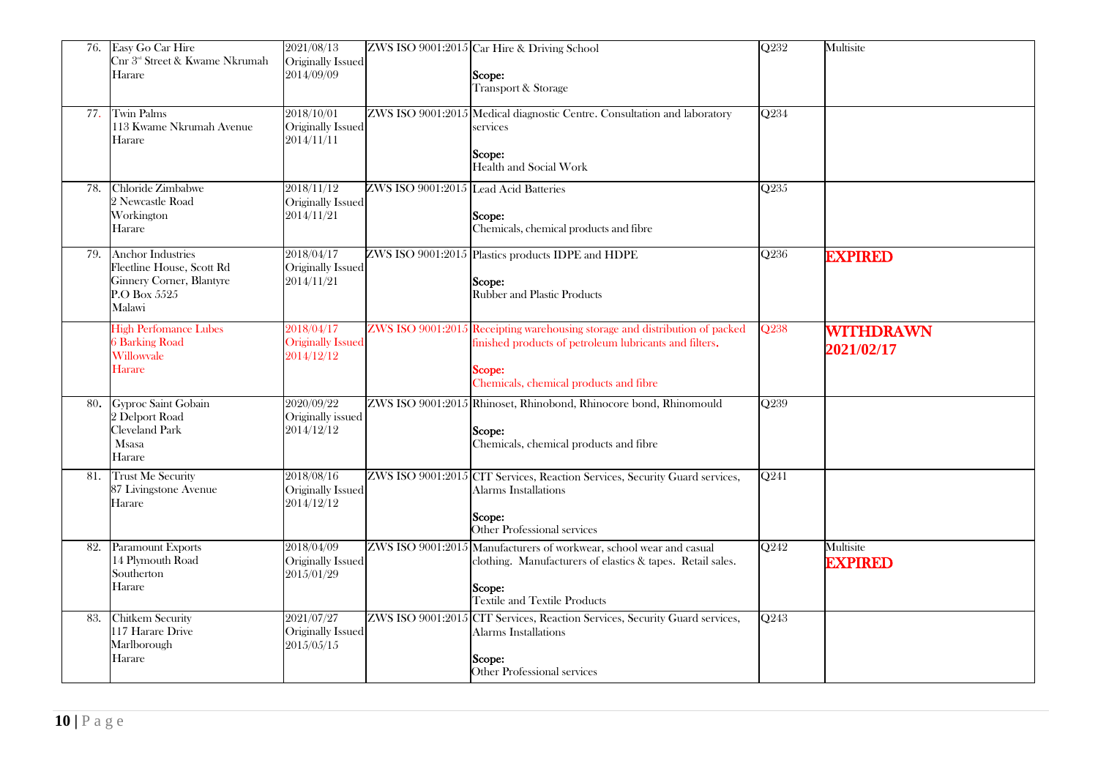| 76. | Easy Go Car Hire<br>Cnr 3 <sup>rd</sup> Street & Kwame Nkrumah<br>Harare                                           | 2021/08/13<br>Originally Issued<br>2014/09/09        |                                       | ZWS ISO 9001:2015 Car Hire & Driving School<br>Scope:<br>Transport & Storage                                                                                                              | $\overline{Q232}$ | Multisite                   |
|-----|--------------------------------------------------------------------------------------------------------------------|------------------------------------------------------|---------------------------------------|-------------------------------------------------------------------------------------------------------------------------------------------------------------------------------------------|-------------------|-----------------------------|
|     | 77. Twin Palms<br>113 Kwame Nkrumah Avenue<br>Harare                                                               | 2018/10/01<br>Originally Issued<br>2014/11/11        |                                       | ZWS ISO 9001:2015 Medical diagnostic Centre. Consultation and laboratory<br>services<br>Scope:<br>Health and Social Work                                                                  | Q234              |                             |
| 78. | Chloride Zimbabwe<br>2 Newcastle Road<br>Workington<br>Harare                                                      | 2018/11/12<br>Originally Issued<br>2014/11/21        | ZWS ISO 9001:2015 Lead Acid Batteries | Scope:<br>Chemicals, chemical products and fibre                                                                                                                                          | Q235              |                             |
| 79. | <b>Anchor Industries</b><br>Fleetline House, Scott Rd<br><b>Ginnery Corner, Blantyre</b><br>P.O Box 5525<br>Malawi | 2018/04/17<br>Originally Issued<br>2014/11/21        |                                       | ZWS ISO 9001:2015 Plastics products IDPE and HDPE<br>Scope:<br><b>Rubber and Plastic Products</b>                                                                                         | $\overline{Q236}$ | <b>EXPIRED</b>              |
|     | <b>High Perfomance Lubes</b><br><b>6 Barking Road</b><br>Willowvale<br>Harare                                      | 2018/04/17<br><b>Originally Issued</b><br>2014/12/12 |                                       | ZWS ISO 9001:2015 Receipting warehousing storage and distribution of packed<br>finished products of petroleum lubricants and filters.<br>Scope:<br>Chemicals, chemical products and fibre | Q <sub>238</sub>  | WITHDRAWN<br>2021/02/17     |
|     | 80. Gyproc Saint Gobain<br>2 Delport Road<br>Cleveland Park<br><b>Msasa</b><br>Harare                              | 2020/09/22<br>Originally issued<br>2014/12/12        |                                       | ZWS ISO 9001:2015 Rhinoset, Rhinobond, Rhinocore bond, Rhinomould<br>Scope:<br>Chemicals, chemical products and fibre                                                                     | Q <sub>239</sub>  |                             |
| 81. | <b>Trust Me Security</b><br>87 Livingstone Avenue<br>Harare                                                        | 2018/08/16<br>Originally Issued<br>2014/12/12        |                                       | ZWS ISO 9001:2015 CIT Services, Reaction Services, Security Guard services,<br>Alarms Installations<br>Scope:<br>Other Professional services                                              | $\overline{Q241}$ |                             |
| 82. | Paramount Exports<br>14 Plymouth Road<br>Southerton<br>Harare                                                      | 2018/04/09<br>Originally Issued<br>2015/01/29        |                                       | ZWS ISO 9001:2015 Manufacturers of workwear, school wear and casual<br>clothing. Manufacturers of elastics & tapes. Retail sales.<br>Scope:<br><b>Textile and Textile Products</b>        | O <sub>242</sub>  | Multisite<br><b>EXPIRED</b> |
| 83. | Chitkem Security<br>117 Harare Drive<br>Marlborough<br>Harare                                                      | 2021/07/27<br>Originally Issued<br>2015/05/15        |                                       | ZWS ISO 9001:2015 CIT Services, Reaction Services, Security Guard services,<br>Alarms Installations<br>Scope:<br>Other Professional services                                              | Q243              |                             |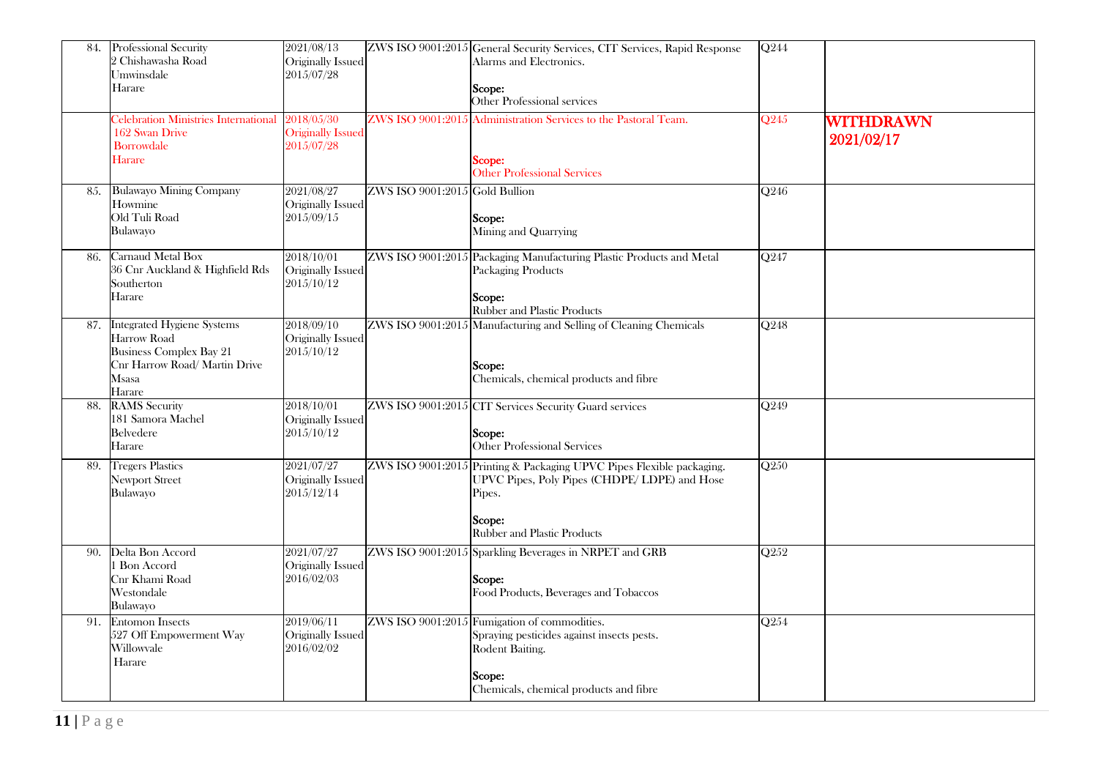| 84. | Professional Security<br>2 Chishawasha Road<br>Umwinsdale<br>Harare                                                                    | 2021/08/13<br>Originally Issued<br>2015/07/28        |                                  | ZWS ISO 9001:2015 General Security Services, CIT Services, Rapid Response<br>Alarms and Electronics.<br>Scope:<br>Other Professional services                                    | Q244              |                         |
|-----|----------------------------------------------------------------------------------------------------------------------------------------|------------------------------------------------------|----------------------------------|----------------------------------------------------------------------------------------------------------------------------------------------------------------------------------|-------------------|-------------------------|
|     | Celebration Ministries International<br>162 Swan Drive<br><b>Borrowdale</b><br><b>Harare</b>                                           | 2018/05/30<br><b>Originally Issued</b><br>2015/07/28 | ZWS ISO 9001:2015                | Administration Services to the Pastoral Team.<br>Scope:<br><b>Other Professional Services</b>                                                                                    | Q245              | WITHDRAWN<br>2021/02/17 |
| 85. | <b>Bulawayo Mining Company</b><br>Howmine<br>Old Tuli Road<br>Bulawayo                                                                 | 2021/08/27<br>Originally Issued<br>2015/09/15        | $ZWS$ ISO 9001:2015 Gold Bullion | Scope:<br>Mining and Quarrying                                                                                                                                                   | Q246              |                         |
| 86. | Carnaud Metal Box<br>36 Cnr Auckland & Highfield Rds<br>Southerton<br>Harare                                                           | 2018/10/01<br>Originally Issued<br>2015/10/12        |                                  | ZWS ISO 9001:2015 Packaging Manufacturing Plastic Products and Metal<br>Packaging Products<br>Scope:<br><b>Rubber and Plastic Products</b>                                       | $\overline{Q247}$ |                         |
| 87. | <b>Integrated Hygiene Systems</b><br>Harrow Road<br><b>Business Complex Bay 21</b><br>Cnr Harrow Road/ Martin Drive<br>Msasa<br>Harare | 2018/09/10<br>Originally Issued<br>2015/10/12        |                                  | ZWS ISO 9001:2015 Manufacturing and Selling of Cleaning Chemicals<br>Scope:<br>Chemicals, chemical products and fibre                                                            | Q248              |                         |
| 88. | <b>RAMS</b> Security<br>181 Samora Machel<br>Belvedere<br>Harare                                                                       | 2018/10/01<br>Originally Issued<br>2015/10/12        |                                  | ZWS ISO 9001:2015 CIT Services Security Guard services<br>Scope:<br>Other Professional Services                                                                                  | Q249              |                         |
| 89. | <b>Tregers Plastics</b><br><b>Newport Street</b><br>Bulawayo                                                                           | 2021/07/27<br>Originally Issued<br>2015/12/14        |                                  | ZWS ISO 9001:2015 Printing & Packaging UPVC Pipes Flexible packaging.<br>UPVC Pipes, Poly Pipes (CHDPE/ LDPE) and Hose<br>Pipes.<br>Scope:<br><b>Rubber and Plastic Products</b> | Q250              |                         |
| 90. | Delta Bon Accord<br>1 Bon Accord<br>Cnr Khami Road<br>Westondale<br>Bulawayo                                                           | 2021/07/27<br>Originally Issued<br>2016/02/03        |                                  | ZWS ISO 9001:2015 Sparkling Beverages in NRPET and GRB<br>Scope:<br>Food Products, Beverages and Tobaccos                                                                        | $\overline{Q252}$ |                         |
| 91. | <b>Entomon Insects</b><br>527 Off Empowerment Way<br>Willowvale<br>Harare                                                              | 2019/06/11<br>Originally Issued<br>2016/02/02        |                                  | ZWS ISO 9001:2015 Fumigation of commodities.<br>Spraying pesticides against insects pests.<br>Rodent Baiting.<br>Scope:<br>Chemicals, chemical products and fibre                | $Q$ 254           |                         |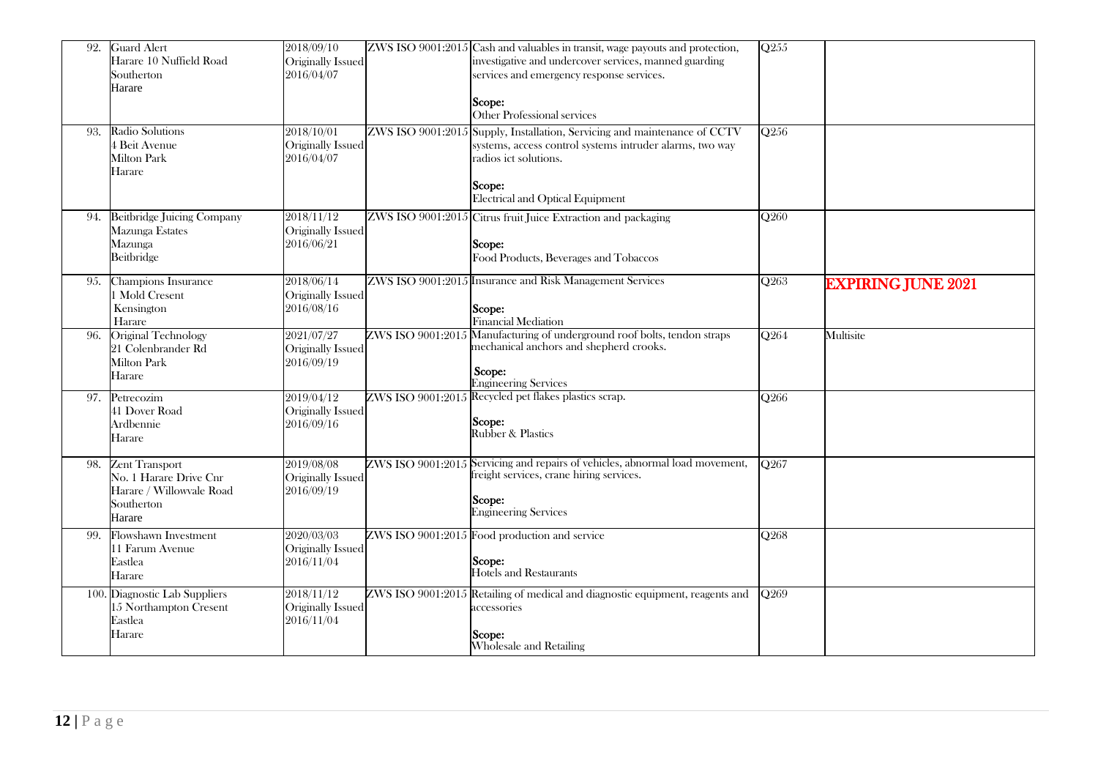| 92. | <b>Guard Alert</b><br>Harare 10 Nuffield Road<br>Southerton<br>Harare                               | 2018/09/10<br>Originally Issued<br>2016/04/07 |                   | ZWS ISO 9001:2015 Cash and valuables in transit, wage payouts and protection,<br>investigative and undercover services, manned guarding<br>services and emergency response services.<br>Scope:<br>Other Professional services | $\overline{Q255}$ |                           |
|-----|-----------------------------------------------------------------------------------------------------|-----------------------------------------------|-------------------|-------------------------------------------------------------------------------------------------------------------------------------------------------------------------------------------------------------------------------|-------------------|---------------------------|
| 93. | Radio Solutions<br>4 Beit Avenue<br><b>Milton Park</b><br>Harare                                    | 2018/10/01<br>Originally Issued<br>2016/04/07 | ZWS ISO 9001:2015 | Supply, Installation, Servicing and maintenance of CCTV<br>systems, access control systems intruder alarms, two way<br>radios ict solutions.<br>Scope:<br>Electrical and Optical Equipment                                    | Q256              |                           |
| 94. | <b>Beitbridge Juicing Company</b><br>Mazunga Estates<br>Mazunga<br>Beitbridge                       | 2018/11/12<br>Originally Issued<br>2016/06/21 |                   | ZWS ISO 9001:2015 Citrus fruit Juice Extraction and packaging<br>Scope:<br>Food Products, Beverages and Tobaccos                                                                                                              | Q260              |                           |
| 95. | Champions Insurance<br>1 Mold Cresent<br>Kensington<br>Harare                                       | 2018/06/14<br>Originally Issued<br>2016/08/16 |                   | ZWS ISO 9001:2015 Insurance and Risk Management Services<br>Scope:<br>Financial Mediation                                                                                                                                     | Q263              | <b>EXPIRING JUNE 2021</b> |
| 96. | Original Technology<br>21 Colenbrander Rd<br><b>Milton Park</b><br>Harare                           | 2021/07/27<br>Originally Issued<br>2016/09/19 |                   | ZWS ISO 9001:2015 Manufacturing of underground roof bolts, tendon straps<br>mechanical anchors and shepherd crooks.<br>Scope:<br><b>Engineering Services</b>                                                                  | Q264              | Multisite                 |
| 97. | Petrecozim<br>41 Dover Road<br>Ardbennie<br>Harare                                                  | 2019/04/12<br>Originally Issued<br>2016/09/16 |                   | ZWS ISO 9001:2015 Recycled pet flakes plastics scrap.<br>Scope:<br><b>Rubber &amp; Plastics</b>                                                                                                                               | $\overline{Q266}$ |                           |
| 98. | <b>Zent Transport</b><br>No. 1 Harare Drive Cnr<br>Harare / Willowvale Road<br>Southerton<br>Harare | 2019/08/08<br>Originally Issued<br>2016/09/19 |                   | ZWS ISO 9001:2015 Servicing and repairs of vehicles, abnormal load movement,<br>freight services, crane hiring services.<br>Scope:<br><b>Engineering Services</b>                                                             | O <sub>267</sub>  |                           |
| 99. | Flowshawn Investment<br>11 Farum Avenue<br>Eastlea<br>Harare                                        | 2020/03/03<br>Originally Issued<br>2016/11/04 |                   | ZWS ISO 9001:2015 Food production and service<br>Scope:<br>Hotels and Restaurants                                                                                                                                             | Q268              |                           |
|     | 100. Diagnostic Lab Suppliers<br>15 Northampton Cresent<br>Eastlea<br>Harare                        | 2018/11/12<br>Originally Issued<br>2016/11/04 |                   | ZWS ISO 9001:2015 Retailing of medical and diagnostic equipment, reagents and<br>accessories<br>Scope:<br>Wholesale and Retailing                                                                                             | Q <sub>269</sub>  |                           |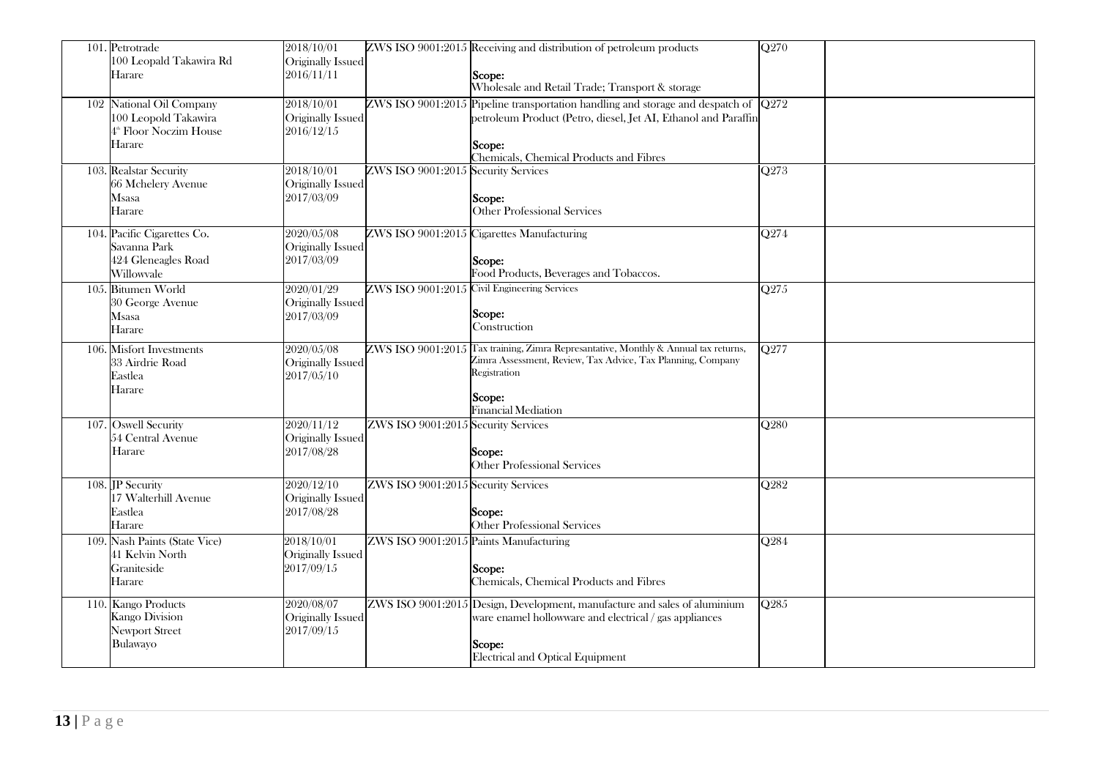| 101. Petrotrade<br>100 Leopald Takawira Rd<br>Harare                                             | 2018/10/01<br>Originally Issued<br>2016/11/11 |                                        | ZWS ISO 9001:2015 Receiving and distribution of petroleum products<br>Scope:<br>Wholesale and Retail Trade; Transport & storage                                                                            | $\overline{Q270}$ |
|--------------------------------------------------------------------------------------------------|-----------------------------------------------|----------------------------------------|------------------------------------------------------------------------------------------------------------------------------------------------------------------------------------------------------------|-------------------|
| 102 National Oil Company<br>100 Leopold Takawira<br>4 <sup>th</sup> Floor Noczim House<br>Harare | 2018/10/01<br>Originally Issued<br>2016/12/15 |                                        | $ZWS$ ISO 9001:2015 Pipeline transportation handling and storage and despatch of $Q272$<br>petroleum Product (Petro, diesel, Jet AI, Ethanol and Paraffin<br>Scope:                                        |                   |
| 103. Realstar Security<br>66 Mchelery Avenue<br>Msasa<br>Harare                                  | 2018/10/01<br>Originally Issued<br>2017/03/09 | ZWS ISO 9001:2015 Security Services    | Chemicals, Chemical Products and Fibres<br>Scope:<br>Other Professional Services                                                                                                                           | $\overline{Q273}$ |
| 104. Pacific Cigarettes Co.<br>Savanna Park<br>424 Gleneagles Road<br>Willowvale                 | 2020/05/08<br>Originally Issued<br>2017/03/09 |                                        | ZWS ISO 9001:2015 Cigarettes Manufacturing<br>Scope:<br>Food Products, Beverages and Tobaccos.                                                                                                             | Q274              |
| 105. Bitumen World<br>30 George Avenue<br>Msasa<br>Harare                                        | 2020/01/29<br>Originally Issued<br>2017/03/09 |                                        | ZWS ISO 9001:2015 Civil Engineering Services<br>Scope:<br>Construction                                                                                                                                     | $\overline{Q275}$ |
| 106. Misfort Investments<br>33 Airdrie Road<br>Eastlea<br>Harare                                 | 2020/05/08<br>Originally Issued<br>2017/05/10 |                                        | ZWS ISO 9001:2015 Tax training, Zimra Represantative, Monthly & Annual tax returns,<br>Zimra Assessment, Review, Tax Advice, Tax Planning, Company<br>Registration<br>Scope:<br><b>Financial Mediation</b> | $\overline{Q277}$ |
| 107. Oswell Security<br>54 Central Avenue<br>Harare                                              | 2020/11/12<br>Originally Issued<br>2017/08/28 | ZWS ISO 9001:2015 Security Services    | Scope:<br><b>Other Professional Services</b>                                                                                                                                                               | Q280              |
| 108. IP Security<br>17 Walterhill Avenue<br>Eastlea<br>Harare                                    | 2020/12/10<br>Originally Issued<br>2017/08/28 | ZWS ISO 9001:2015 Security Services    | Scope:<br><b>Other Professional Services</b>                                                                                                                                                               | O282              |
| 109. Nash Paints (State Vice)<br>41 Kelvin North<br>Graniteside<br>Harare                        | 2018/10/01<br>Originally Issued<br>2017/09/15 | ZWS ISO 9001:2015 Paints Manufacturing | Scope:<br>Chemicals, Chemical Products and Fibres                                                                                                                                                          | $\overline{Q284}$ |
| 110. Kango Products<br><b>Kango Division</b><br><b>Newport Street</b><br>Bulawayo                | 2020/08/07<br>Originally Issued<br>2017/09/15 |                                        | ZWS ISO 9001:2015 Design, Development, manufacture and sales of aluminium<br>ware enamel hollowware and electrical / gas appliances<br>Scope:<br>Electrical and Optical Equipment                          | $\overline{Q285}$ |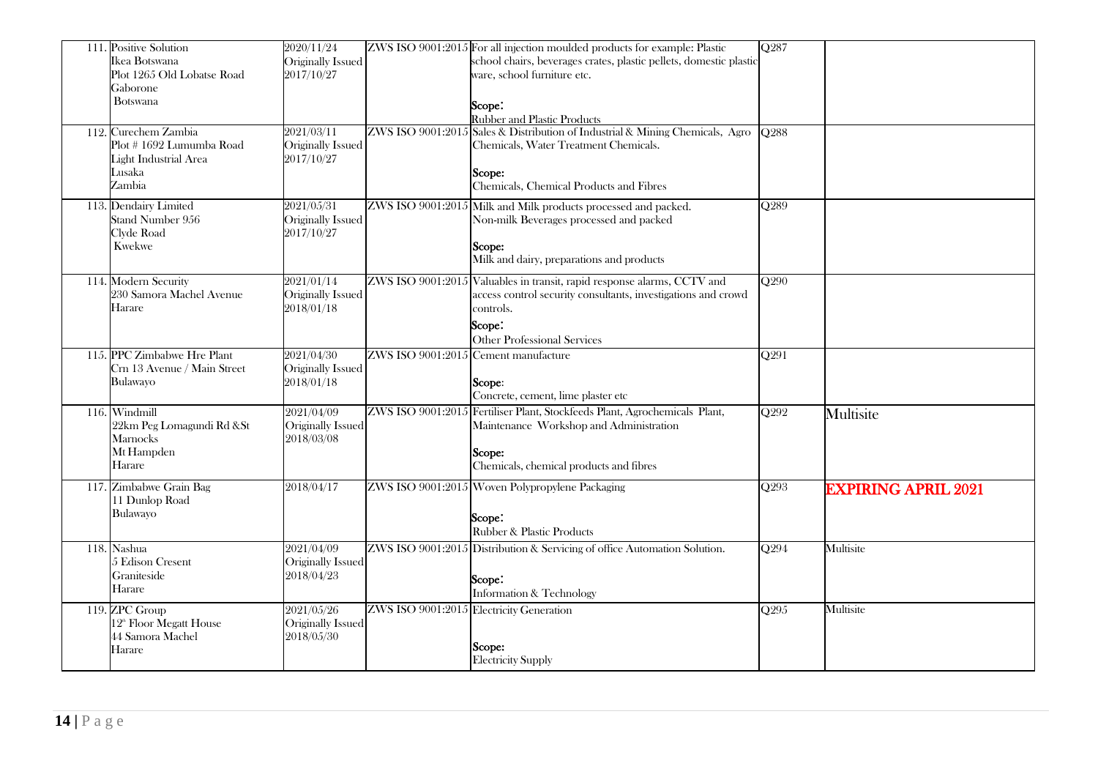| 111. Positive Solution<br>Ikea Botswana<br>Plot 1265 Old Lobatse Road<br>Gaborone<br>Botswana<br>112. Curechem Zambia<br>Plot #1692 Lumumba Road<br>Light Industrial Area<br>Lusaka<br>Zambia | 2020/11/24<br>Originally Issued<br>2017/10/27<br>2021/03/11<br>Originally Issued<br>2017/10/27 |                                      | ZWS ISO 9001:2015 For all injection moulded products for example: Plastic<br>school chairs, beverages crates, plastic pellets, domestic plastic<br>ware, school furniture etc.<br>Scope:<br><b>Rubber and Plastic Products</b><br>ZWS ISO 9001:2015 Sales & Distribution of Industrial & Mining Chemicals, Agro<br>Chemicals, Water Treatment Chemicals.<br>Scope:<br>Chemicals, Chemical Products and Fibres | Q287<br>O <sub>288</sub> |                            |
|-----------------------------------------------------------------------------------------------------------------------------------------------------------------------------------------------|------------------------------------------------------------------------------------------------|--------------------------------------|---------------------------------------------------------------------------------------------------------------------------------------------------------------------------------------------------------------------------------------------------------------------------------------------------------------------------------------------------------------------------------------------------------------|--------------------------|----------------------------|
| 113. Dendairy Limited<br>Stand Number 956<br>Clyde Road<br><b>Kwekwe</b>                                                                                                                      | 2021/05/31<br>Originally Issued<br>2017/10/27                                                  |                                      | ZWS ISO 9001:2015 Milk and Milk products processed and packed.<br>Non-milk Beverages processed and packed<br>Scope:<br>Milk and dairy, preparations and products                                                                                                                                                                                                                                              | Q289                     |                            |
| 114. Modern Security<br>230 Samora Machel Avenue<br>Harare                                                                                                                                    | 2021/01/14<br>Originally Issued<br>2018/01/18                                                  |                                      | ZWS ISO 9001:2015 Valuables in transit, rapid response alarms, CCTV and<br>access control security consultants, investigations and crowd<br>controls.<br>Scope:<br><b>Other Professional Services</b>                                                                                                                                                                                                         | $\overline{Q290}$        |                            |
| 115. PPC Zimbabwe Hre Plant<br>Crn 13 Avenue / Main Street<br>Bulawayo                                                                                                                        | 2021/04/30<br>Originally Issued<br>2018/01/18                                                  | ZWS ISO 9001:2015 Cement manufacture | Scope:<br>Concrete, cement, lime plaster etc                                                                                                                                                                                                                                                                                                                                                                  | Q291                     |                            |
| 116. Windmill<br>22km Peg Lomagundi Rd & St<br>Marnocks<br>Mt Hampden<br>Harare                                                                                                               | 2021/04/09<br>Originally Issued<br>2018/03/08                                                  |                                      | ZWS ISO 9001:2015 Fertiliser Plant, Stockfeeds Plant, Agrochemicals Plant,<br>Maintenance Workshop and Administration<br>Scope:<br>Chemicals, chemical products and fibres                                                                                                                                                                                                                                    | Q292                     | Multisite                  |
| 117. Zimbabwe Grain Bag<br>11 Dunlop Road<br>Bulawayo                                                                                                                                         | 2018/04/17                                                                                     |                                      | ZWS ISO 9001:2015 Woven Polypropylene Packaging<br>Scope:<br>Rubber & Plastic Products                                                                                                                                                                                                                                                                                                                        | Q293                     | <b>EXPIRING APRIL 2021</b> |
| 118. Nashua<br>5 Edison Cresent<br>Graniteside<br>Harare                                                                                                                                      | 2021/04/09<br>Originally Issued<br>2018/04/23                                                  |                                      | ZWS ISO 9001:2015 Distribution & Servicing of office Automation Solution.<br>Scope:<br><b>Information &amp; Technology</b>                                                                                                                                                                                                                                                                                    | Q294                     | Multisite                  |
| 119. ZPC Group<br>12 <sup>th</sup> Floor Megatt House<br>44 Samora Machel<br>Harare                                                                                                           | 2021/05/26<br>Originally Issued<br>2018/05/30                                                  |                                      | ZWS ISO 9001:2015 Electricity Generation<br>Scope:<br><b>Electricity Supply</b>                                                                                                                                                                                                                                                                                                                               | Q295                     | Multisite                  |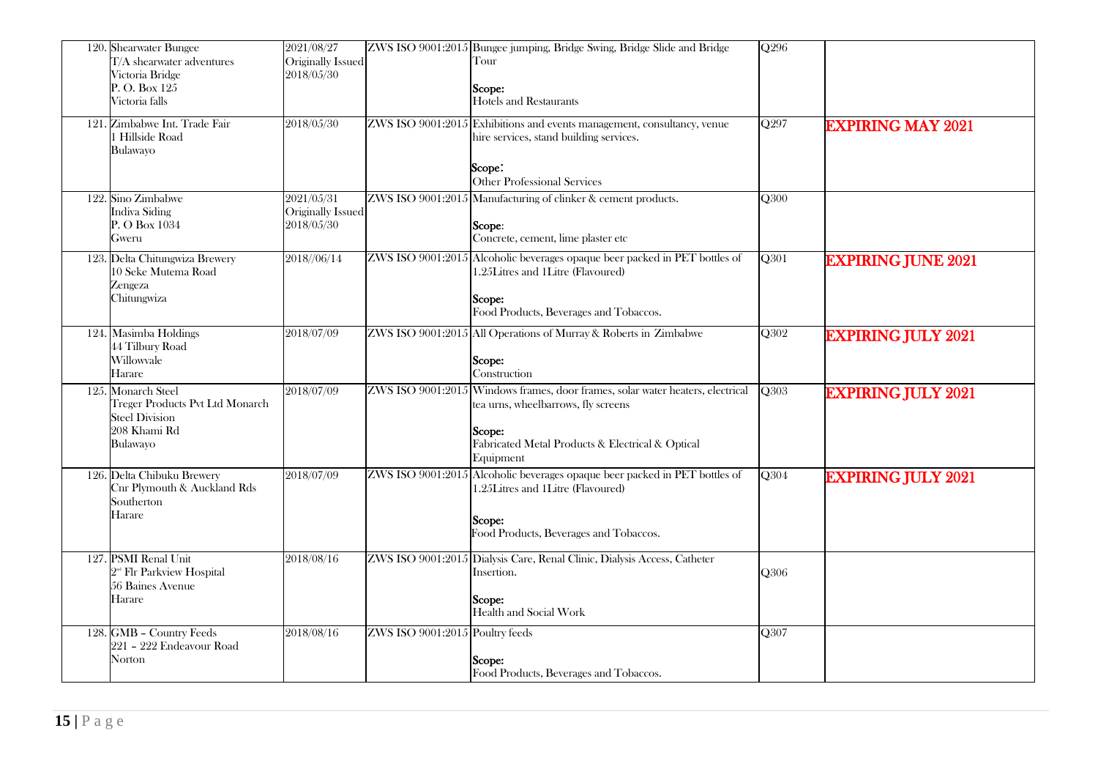| 120. Shearwater Bungee<br>T/A shearwater adventures<br>Victoria Bridge<br>P. O. Box 125<br>Victoria falls  | 2021/08/27<br>Originally Issued<br>2018/05/30 |                                 | ZWS ISO 9001:2015 Bungee jumping, Bridge Swing, Bridge Slide and Bridge<br>Tour<br>Scope:<br><b>Hotels and Restaurants</b>                                                                       | Q296              |                           |
|------------------------------------------------------------------------------------------------------------|-----------------------------------------------|---------------------------------|--------------------------------------------------------------------------------------------------------------------------------------------------------------------------------------------------|-------------------|---------------------------|
| 121. Zimbabwe Int. Trade Fair<br>1 Hillside Road<br>Bulawayo                                               | 2018/05/30                                    |                                 | ZWS ISO 9001:2015 Exhibitions and events management, consultancy, venue<br>hire services, stand building services.<br>Scope:<br><b>Other Professional Services</b>                               | $\overline{Q297}$ | <b>EXPIRING MAY 2021</b>  |
| 122. Sino Zimbabwe<br><b>Indiva Siding</b><br>P. O Box 1034<br>Gweru                                       | 2021/05/31<br>Originally Issued<br>2018/05/30 |                                 | ZWS ISO 9001:2015 Manufacturing of clinker & cement products.<br>Scope:<br>Concrete, cement, lime plaster etc                                                                                    | Q300              |                           |
| 123. Delta Chitungwiza Brewery<br>10 Seke Mutema Road<br>Zengeza<br>Chitungwiza                            | 2018//06/14                                   |                                 | ZWS ISO 9001:2015 Alcoholic beverages opaque beer packed in PET bottles of<br>1.25Litres and 1Litre (Flavoured)<br>Scope:<br>Food Products, Beverages and Tobaccos.                              | Q301              | <b>EXPIRING JUNE 2021</b> |
| 124. Masimba Holdings<br>44 Tilbury Road<br>Willowyale<br>Harare                                           | 2018/07/09                                    |                                 | ZWS ISO 9001:2015 All Operations of Murray & Roberts in Zimbabwe<br>Scope:<br>Construction                                                                                                       | Q302              | <b>EXPIRING JULY 2021</b> |
| 125. Monarch Steel<br>Treger Products Pvt Ltd Monarch<br><b>Steel Division</b><br>208 Khami Rd<br>Bulawayo | 2018/07/09                                    |                                 | ZWS ISO 9001:2015 Windows frames, door frames, solar water heaters, electrical<br>tea urns, wheelbarrows, fly screens<br>Scope:<br>Fabricated Metal Products & Electrical & Optical<br>Equipment | Q303              | <b>EXPIRING JULY 2021</b> |
| 126. Delta Chibuku Brewery<br>Cnr Plymouth & Auckland Rds<br>Southerton<br>Harare                          | 2018/07/09                                    |                                 | ZWS ISO 9001:2015 Alcoholic beverages opaque beer packed in PET bottles of<br>1.25Litres and 1Litre (Flavoured)<br>Scope:<br>Food Products, Beverages and Tobaccos.                              | Q304              | <b>EXPIRING JULY 2021</b> |
| 127. PSMI Renal Unit<br>2 <sup>nd</sup> Flr Parkview Hospital<br>56 Baines Avenue<br>Harare                | 2018/08/16                                    |                                 | ZWS ISO 9001:2015 Dialysis Care, Renal Clinic, Dialysis Access, Catheter<br>Insertion.<br>Scope:<br>Health and Social Work                                                                       | Q306              |                           |
| 128. GMB - Country Feeds<br>221 - 222 Endeavour Road<br>Norton                                             | 2018/08/16                                    | ZWS ISO 9001:2015 Poultry feeds | Scope:<br>Food Products, Beverages and Tobaccos.                                                                                                                                                 | $\overline{Q}307$ |                           |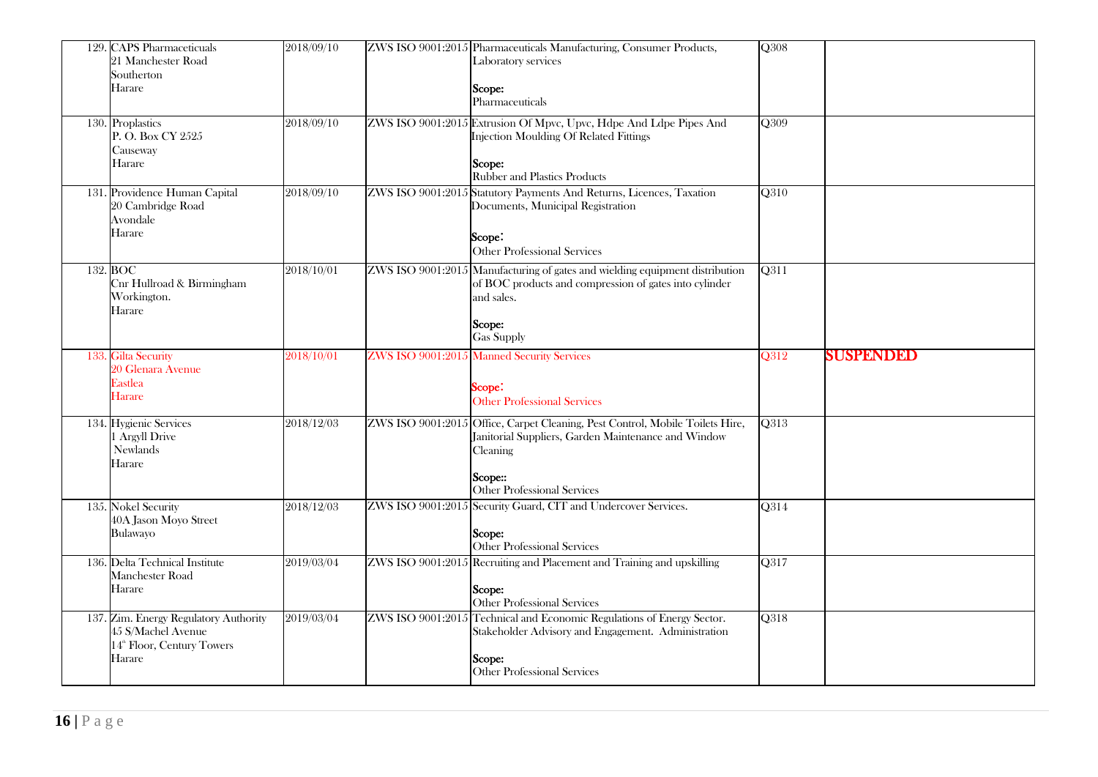| 129. CAPS Pharmaceticuals<br>21 Manchester Road<br>Southerton<br>Harare                                         | 2018/09/10 | ZWS ISO 9001:2015 Pharmaceuticals Manufacturing, Consumer Products,<br>Laboratory services<br>Scope:<br>Pharmaceuticals                                                                    | Q308              |           |
|-----------------------------------------------------------------------------------------------------------------|------------|--------------------------------------------------------------------------------------------------------------------------------------------------------------------------------------------|-------------------|-----------|
| 130. Proplastics<br>P.O. Box CY 2525<br>Causeway<br>Harare                                                      | 2018/09/10 | ZWS ISO 9001:2015 Extrusion Of Mpvc, Upvc, Hdpe And Ldpe Pipes And<br>Injection Moulding Of Related Fittings<br>Scope:<br><b>Rubber and Plastics Products</b>                              | Q309              |           |
| 131. Providence Human Capital<br>20 Cambridge Road<br>Avondale<br>Harare                                        | 2018/09/10 | ZWS ISO 9001:2015 Statutory Payments And Returns, Licences, Taxation<br>Documents, Municipal Registration<br>Scope:<br><b>Other Professional Services</b>                                  | Q310              |           |
| 132. BOC<br>Cnr Hullroad & Birmingham<br>Workington.<br>Harare                                                  | 2018/10/01 | ZWS ISO 9001:2015 Manufacturing of gates and wielding equipment distribution<br>of BOC products and compression of gates into cylinder<br>and sales.<br>Scope:<br>Gas Supply               | O311              |           |
| 133. Gilta Security<br>20 Glenara Avenue<br>Eastlea<br><b>Harare</b>                                            | 2018/10/01 | <b>ZWS ISO 9001:2015 Manned Security Services</b><br>Scope:<br><b>Other Professional Services</b>                                                                                          | O312              | SUSPENDED |
| 134. Hygienic Services<br>1 Argyll Drive<br>Newlands<br>Harare                                                  | 2018/12/03 | ZWS ISO 9001:2015 Office, Carpet Cleaning, Pest Control, Mobile Toilets Hire,<br>Janitorial Suppliers, Garden Maintenance and Window<br>Cleaning<br>Scope::<br>Other Professional Services | Q313              |           |
| 135. Nokel Security<br>40A Jason Moyo Street<br>Bulawayo                                                        | 2018/12/03 | ZWS ISO 9001:2015 Security Guard, CIT and Undercover Services.<br>Scope:<br>Other Professional Services                                                                                    | Q314              |           |
| 136. Delta Technical Institute<br>Manchester Road<br>Harare                                                     | 2019/03/04 | ZWS ISO 9001:2015 Recruiting and Placement and Training and upskilling<br>Scope:<br>Other Professional Services                                                                            | $\overline{Q317}$ |           |
| 137. Zim. Energy Regulatory Authority<br>45 S/Machel Avenue<br>14 <sup>th</sup> Floor, Century Towers<br>Harare | 2019/03/04 | ZWS ISO 9001:2015 Technical and Economic Regulations of Energy Sector.<br>Stakeholder Advisory and Engagement. Administration<br>Scope:<br>Other Professional Services                     | Q318              |           |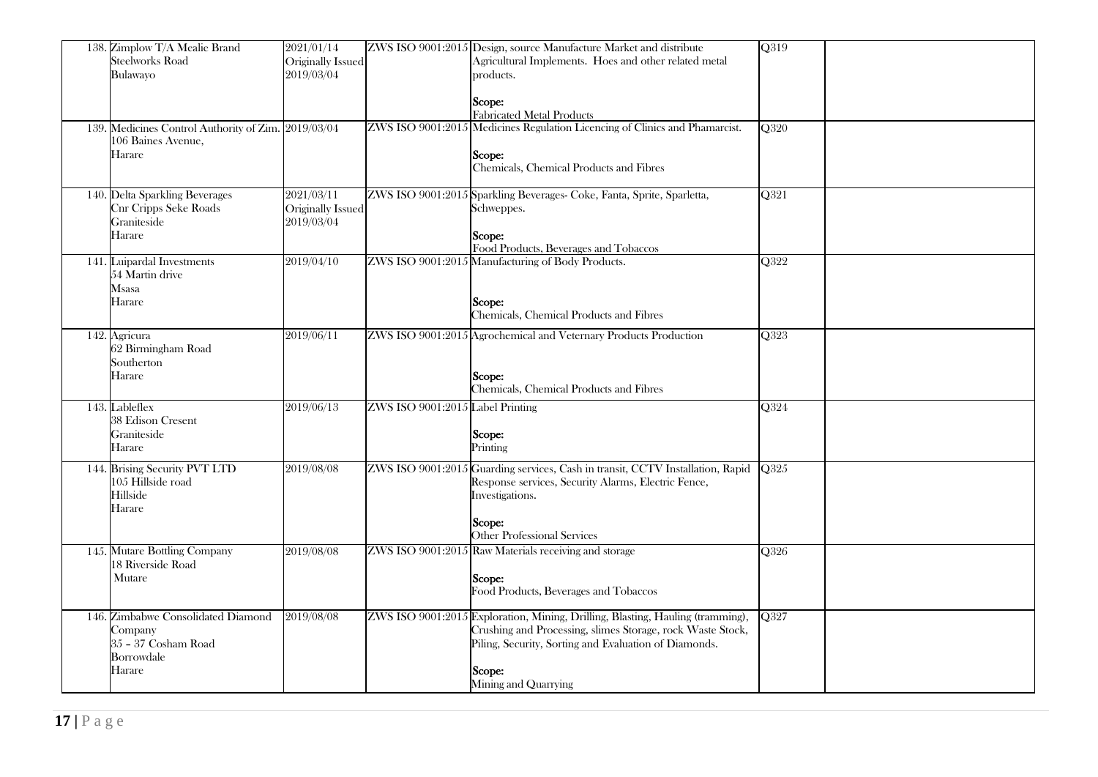| 138. Zimplow T/A Mealie Brand<br><b>Steelworks Road</b><br>Bulawayo<br>139. Medicines Control Authority of Zim. 2019/03/04<br>106 Baines Avenue,<br>Harare | 2021/01/14<br>Originally Issued<br>2019/03/04 |                                  | ZWS ISO 9001:2015 Design, source Manufacture Market and distribute<br>Agricultural Implements. Hoes and other related metal<br>products.<br>Scope:<br><b>Fabricated Metal Products</b><br>ZWS ISO 9001:2015 Medicines Regulation Licencing of Clinics and Phamarcist.<br>Scope:<br>Chemicals, Chemical Products and Fibres | Q319<br>Q320      |
|------------------------------------------------------------------------------------------------------------------------------------------------------------|-----------------------------------------------|----------------------------------|----------------------------------------------------------------------------------------------------------------------------------------------------------------------------------------------------------------------------------------------------------------------------------------------------------------------------|-------------------|
| 140. Delta Sparkling Beverages<br>Cnr Cripps Seke Roads<br>Graniteside<br>Harare                                                                           | 2021/03/11<br>Originally Issued<br>2019/03/04 |                                  | ZWS ISO 9001:2015 Sparkling Beverages- Coke, Fanta, Sprite, Sparletta,<br>Schweppes.<br>Scope:<br>Food Products, Beverages and Tobaccos                                                                                                                                                                                    | Q321              |
| 141. Luipardal Investments<br>54 Martin drive<br>Msasa<br>Harare                                                                                           | 2019/04/10                                    |                                  | ZWS ISO 9001:2015 Manufacturing of Body Products.<br>Scope:<br>Chemicals, Chemical Products and Fibres                                                                                                                                                                                                                     | $\overline{Q322}$ |
| 142. Agricura<br>62 Birmingham Road<br>Southerton<br>Harare                                                                                                | 2019/06/11                                    |                                  | ZWS ISO 9001:2015 Agrochemical and Veternary Products Production<br>Scope:<br>Chemicals, Chemical Products and Fibres                                                                                                                                                                                                      | Q323              |
| 143. Lableflex<br>38 Edison Cresent<br>Graniteside<br>Harare                                                                                               | 2019/06/13                                    | ZWS ISO 9001:2015 Label Printing | Scope:<br>Printing                                                                                                                                                                                                                                                                                                         | Q324              |
| 144. Brising Security PVT LTD<br>105 Hillside road<br>Hillside<br>Harare                                                                                   | 2019/08/08                                    |                                  | ZWS ISO 9001:2015 Guarding services, Cash in transit, CCTV Installation, Rapid<br>Response services, Security Alarms, Electric Fence,<br>Investigations.<br>Scope:<br><b>Other Professional Services</b>                                                                                                                   | Q325              |
| 145. Mutare Bottling Company<br>18 Riverside Road<br>Mutare                                                                                                | 2019/08/08                                    |                                  | ZWS ISO 9001:2015 Raw Materials receiving and storage<br>Scope:<br>Food Products, Beverages and Tobaccos                                                                                                                                                                                                                   | Q326              |
| 146. Zimbabwe Consolidated Diamond<br>Company<br>35 - 37 Cosham Road<br>Borrowdale<br>Harare                                                               | 2019/08/08                                    |                                  | ZWS ISO 9001:2015 Exploration, Mining, Drilling, Blasting, Hauling (tramming),<br>Crushing and Processing, slimes Storage, rock Waste Stock,<br>Piling, Security, Sorting and Evaluation of Diamonds.<br>Scope:<br>Mining and Quarrying                                                                                    | Q327              |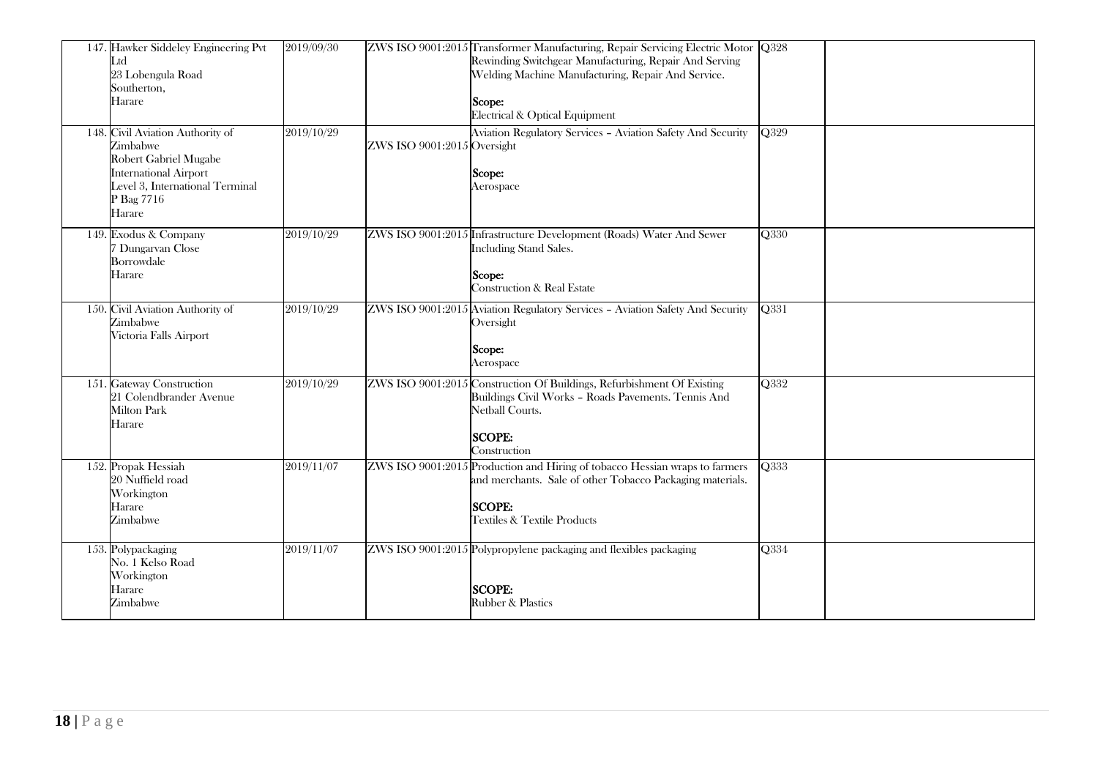| 147. Hawker Siddeley Engineering Pvt<br>Ltd<br>23 Lobengula Road<br>Southerton,<br>Harare                                                                        | 2019/09/30 |                             | ZWS ISO 9001:2015 Transformer Manufacturing, Repair Servicing Electric Motor Q328<br>Rewinding Switchgear Manufacturing, Repair And Serving<br>Welding Machine Manufacturing, Repair And Service.<br>Scope:<br>Electrical & Optical Equipment |                          |
|------------------------------------------------------------------------------------------------------------------------------------------------------------------|------------|-----------------------------|-----------------------------------------------------------------------------------------------------------------------------------------------------------------------------------------------------------------------------------------------|--------------------------|
| 148. Civil Aviation Authority of<br>Zimbabwe<br>Robert Gabriel Mugabe<br><b>International Airport</b><br>Level 3, International Terminal<br>P Bag 7716<br>Harare | 2019/10/29 | ZWS ISO 9001:2015 Oversight | Aviation Regulatory Services - Aviation Safety And Security<br>Scope:<br>Aerospace                                                                                                                                                            | Q329                     |
| 149. Exodus & Company<br>7 Dungarvan Close<br>Borrowdale<br>Harare                                                                                               | 2019/10/29 |                             | ZWS ISO 9001:2015 Infrastructure Development (Roads) Water And Sewer<br><b>Including Stand Sales.</b><br>Scope:<br><b>Construction &amp; Real Estate</b>                                                                                      | Q330                     |
| 150. Civil Aviation Authority of<br>Zimbabwe<br>Victoria Falls Airport                                                                                           | 2019/10/29 |                             | ZWS ISO 9001:2015 Aviation Regulatory Services - Aviation Safety And Security<br>Oversight<br>Scope:<br>Aerospace                                                                                                                             | Q331                     |
| 151. Gateway Construction<br>21 Colendbrander Avenue<br><b>Milton Park</b><br>Harare                                                                             | 2019/10/29 |                             | ZWS ISO 9001:2015 Construction Of Buildings, Refurbishment Of Existing<br>Buildings Civil Works - Roads Pavements. Tennis And<br>Netball Courts.<br><b>SCOPE:</b><br>Construction                                                             | $\overline{\text{Q}332}$ |
| 152. Propak Hessiah<br>20 Nuffield road<br>Workington<br>Harare<br>Zimbabwe                                                                                      | 2019/11/07 |                             | ZWS ISO 9001:2015 Production and Hiring of tobacco Hessian wraps to farmers<br>and merchants. Sale of other Tobacco Packaging materials.<br><b>SCOPE:</b><br><b>Textiles &amp; Textile Products</b>                                           | Q333                     |
| 153. Polypackaging<br>No. 1 Kelso Road<br>Workington<br>Harare<br>Zimbabwe                                                                                       | 2019/11/07 |                             | ZWS ISO 9001:2015 Polypropylene packaging and flexibles packaging<br><b>SCOPE:</b><br>Rubber & Plastics                                                                                                                                       | Q334                     |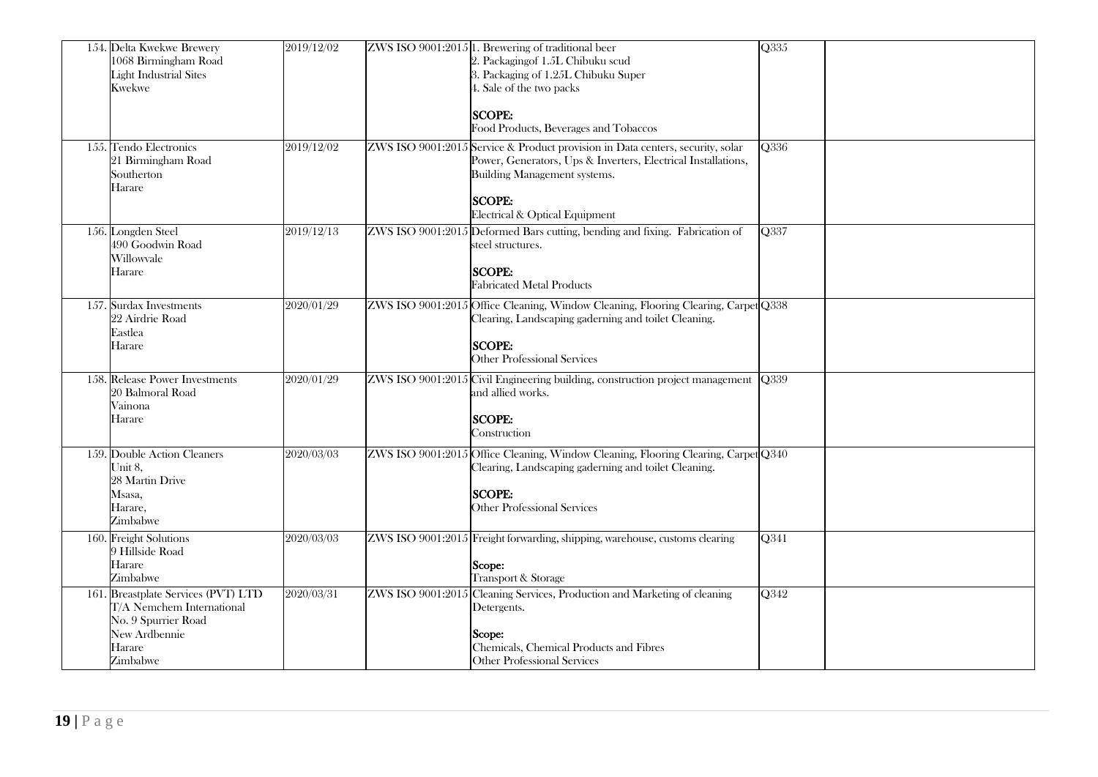| 154. Delta Kwekwe Brewery<br>1068 Birmingham Road<br><b>Light Industrial Sites</b><br>Kwekwe                                   | 2019/12/02 | ZWS ISO 9001:2015 1. Brewering of traditional beer<br>2. Packagingof 1.5L Chibuku scud<br>3. Packaging of 1.25L Chibuku Super<br>4. Sale of the two packs<br><b>SCOPE:</b><br>Food Products, Beverages and Tobaccos                | Q335        |
|--------------------------------------------------------------------------------------------------------------------------------|------------|------------------------------------------------------------------------------------------------------------------------------------------------------------------------------------------------------------------------------------|-------------|
| 155. Tendo Electronics<br>21 Birmingham Road<br>Southerton<br>Harare                                                           | 2019/12/02 | ZWS ISO 9001:2015 Service & Product provision in Data centers, security, solar<br>Power, Generators, Ups & Inverters, Electrical Installations,<br>Building Management systems.<br><b>SCOPE:</b><br>Electrical & Optical Equipment | Q336        |
| 156. Longden Steel<br>490 Goodwin Road<br>Willowvale<br>Harare                                                                 | 2019/12/13 | ZWS ISO 9001:2015 Deformed Bars cutting, bending and fixing. Fabrication of<br>steel structures.<br><b>SCOPE:</b><br><b>Fabricated Metal Products</b>                                                                              | Q337        |
| 157. Surdax Investments<br>22 Airdrie Road<br>Eastlea<br>Harare                                                                | 2020/01/29 | ZWS ISO 9001:2015 Office Cleaning, Window Cleaning, Flooring Clearing, Carpet Q338<br>Clearing, Landscaping gaderning and toilet Cleaning.<br><b>SCOPE:</b><br>Other Professional Services                                         |             |
| 158. Release Power Investments<br>20 Balmoral Road<br>Vainona<br>Harare                                                        | 2020/01/29 | ZWS ISO 9001:2015 Civil Engineering building, construction project management<br>and allied works.<br><b>SCOPE:</b><br>Construction                                                                                                | <b>O339</b> |
| 159. Double Action Cleaners<br>Unit 8,<br>28 Martin Drive<br>Msasa,<br>Harare.<br>Zimbabwe                                     | 2020/03/03 | ZWS ISO 9001:2015 Office Cleaning, Window Cleaning, Flooring Clearing, Carpet Q340<br>Clearing, Landscaping gaderning and toilet Cleaning.<br><b>SCOPE:</b><br><b>Other Professional Services</b>                                  |             |
| 160. Freight Solutions<br>9 Hillside Road<br>Harare<br>Zimbabwe                                                                | 2020/03/03 | ZWS ISO 9001:2015 Freight forwarding, shipping, warehouse, customs clearing<br>Scope:<br>Transport & Storage                                                                                                                       | Q341        |
| 161. Breastplate Services (PVT) LTD<br>T/A Nemchem International<br>No. 9 Spurrier Road<br>New Ardbennie<br>Harare<br>Zimbabwe | 2020/03/31 | ZWS ISO 9001:2015 Cleaning Services, Production and Marketing of cleaning<br>Detergents.<br>Scope:<br>Chemicals, Chemical Products and Fibres<br><b>Other Professional Services</b>                                                | Q342        |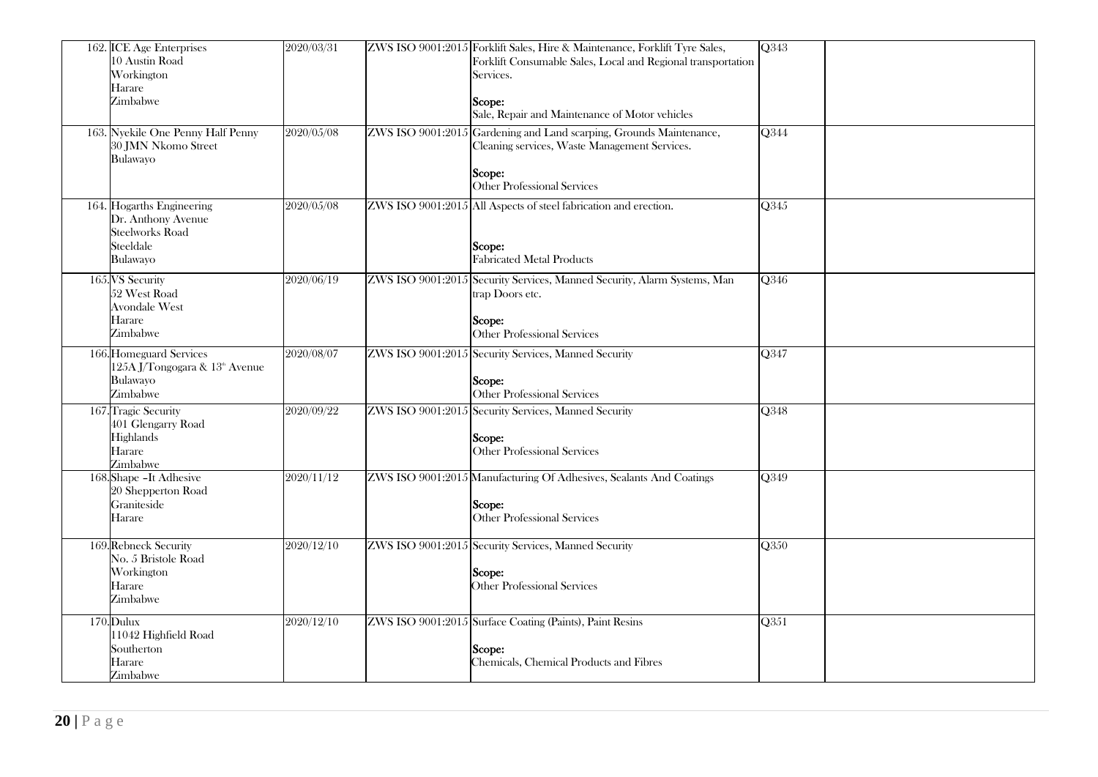| 162. ICE Age Enterprises<br>10 Austin Road<br>Workington<br>Harare<br>Zimbabwe                     | 2020/03/31 | ZWS ISO 9001:2015 Forklift Sales, Hire & Maintenance, Forklift Tyre Sales,<br>Forklift Consumable Sales, Local and Regional transportation<br>Services.<br>Scope:<br>Sale, Repair and Maintenance of Motor vehicles | Q343                     |
|----------------------------------------------------------------------------------------------------|------------|---------------------------------------------------------------------------------------------------------------------------------------------------------------------------------------------------------------------|--------------------------|
| 163. Nyekile One Penny Half Penny<br>30 JMN Nkomo Street<br>Bulawayo                               | 2020/05/08 | ZWS ISO 9001:2015 Gardening and Land scarping, Grounds Maintenance,<br>Cleaning services, Waste Management Services.<br>Scope:<br>Other Professional Services                                                       | Q344                     |
| 164. Hogarths Engineering<br>Dr. Anthony Avenue<br><b>Steelworks Road</b><br>Steeldale<br>Bulawayo | 2020/05/08 | ZWS ISO 9001:2015 All Aspects of steel fabrication and erection.<br>Scope:<br><b>Fabricated Metal Products</b>                                                                                                      | Q345                     |
| 165. VS Security<br>52 West Road<br><b>Avondale West</b><br>Harare<br>Zimbabwe                     | 2020/06/19 | ZWS ISO 9001:2015 Security Services, Manned Security, Alarm Systems, Man<br>trap Doors etc.<br>Scope:<br>Other Professional Services                                                                                | Q346                     |
| 166. Homeguard Services<br>125A J/Tongogara & 13 <sup>th</sup> Avenue<br>Bulawayo<br>Zimbabwe      | 2020/08/07 | ZWS ISO 9001:2015 Security Services, Manned Security<br><b>Scope:</b><br>Other Professional Services                                                                                                                | $\overline{\text{Q}347}$ |
| 167. Tragic Security<br>401 Glengarry Road<br>Highlands<br>Harare<br>Zimbabwe                      | 2020/09/22 | ZWS ISO 9001:2015 Security Services, Manned Security<br>Scope:<br>Other Professional Services                                                                                                                       | Q348                     |
| 168. Shape - It Adhesive<br>20 Shepperton Road<br>Graniteside<br>Harare                            | 2020/11/12 | ZWS ISO 9001:2015 Manufacturing Of Adhesives, Sealants And Coatings<br>Scope:<br>Other Professional Services                                                                                                        | Q349                     |
| 169. Rebneck Security<br>No. 5 Bristole Road<br>Workington<br>Harare<br>Zimbabwe                   | 2020/12/10 | ZWS ISO 9001:2015 Security Services, Manned Security<br>Scope:<br><b>Other Professional Services</b>                                                                                                                | Q350                     |
| 170. Dulux<br>11042 Highfield Road<br>Southerton<br>Harare<br>Zimbabwe                             | 2020/12/10 | ZWS ISO 9001:2015 Surface Coating (Paints), Paint Resins<br>Scope:<br>Chemicals, Chemical Products and Fibres                                                                                                       | $\overline{Q351}$        |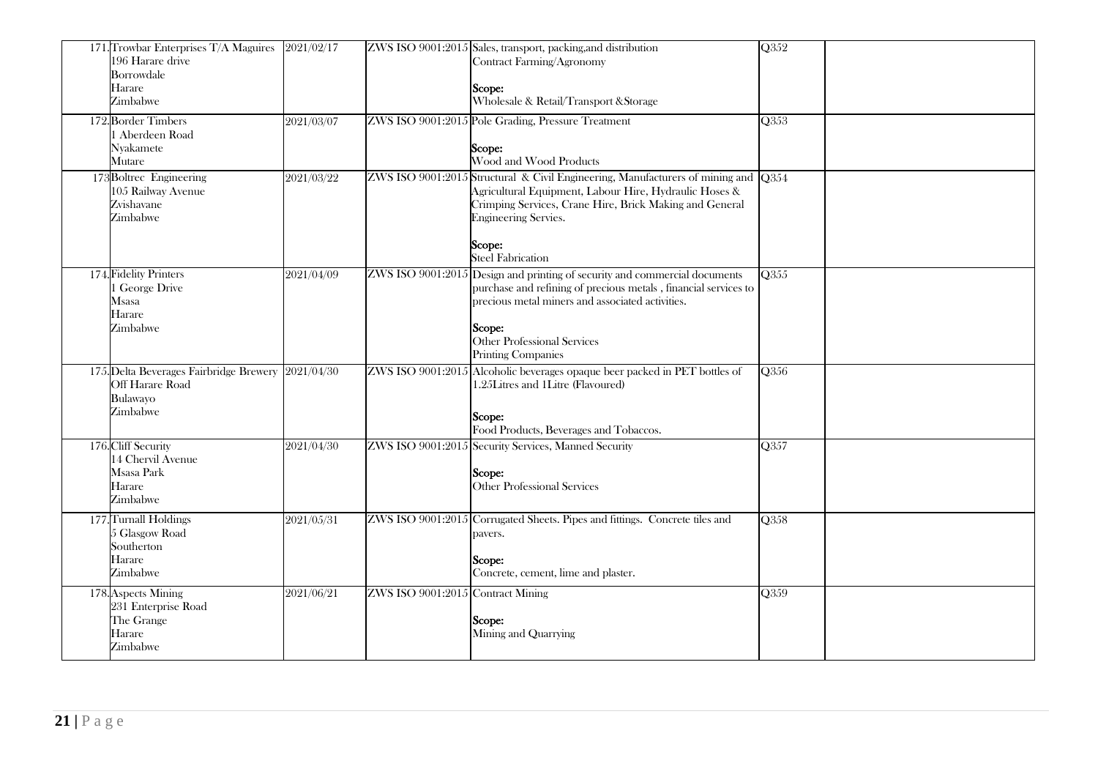| 171. Trowbar Enterprises T/A Maguires<br>196 Harare drive<br>Borrowdale<br>Harare<br>Zimbabwe | 2021/02/17 |                                   | ZWS ISO 9001:2015 Sales, transport, packing, and distribution<br>Contract Farming/Agronomy<br>Scope:<br>Wholesale & Retail/Transport & Storage                                                                                                                               | $\overline{Q352}$        |
|-----------------------------------------------------------------------------------------------|------------|-----------------------------------|------------------------------------------------------------------------------------------------------------------------------------------------------------------------------------------------------------------------------------------------------------------------------|--------------------------|
| 172. Border Timbers<br>1 Aberdeen Road<br>Nyakamete<br>Mutare                                 | 2021/03/07 |                                   | ZWS ISO 9001:2015 Pole Grading, Pressure Treatment<br>Scope:<br>Wood and Wood Products                                                                                                                                                                                       | Q353                     |
| 173 Boltrec Engineering<br>105 Railway Avenue<br>Zvishavane<br>Zimbabwe                       | 2021/03/22 |                                   | ZWS ISO 9001:2015 Structural & Civil Engineering, Manufacturers of mining and Q354<br>Agricultural Equipment, Labour Hire, Hydraulic Hoses &<br>Crimping Services, Crane Hire, Brick Making and General<br><b>Engineering Servies.</b><br>Scope:<br><b>Steel Fabrication</b> |                          |
| 174. Fidelity Printers<br>George Drive<br>Msasa<br>Harare<br>Zimbabwe                         | 2021/04/09 |                                   | ZWS ISO 9001:2015 Design and printing of security and commercial documents<br>purchase and refining of precious metals, financial services to<br>precious metal miners and associated activities.<br>Scope:<br>Other Professional Services<br><b>Printing Companies</b>      | Q355                     |
| 175. Delta Beverages Fairbridge Brewery 2021/04/30<br>Off Harare Road<br>Bulawayo<br>Zimbabwe |            |                                   | ZWS ISO 9001:2015 Alcoholic beverages opaque beer packed in PET bottles of<br>1.25Litres and 1Litre (Flavoured)<br>Scope:<br>Food Products, Beverages and Tobaccos.                                                                                                          | Q356                     |
| 176. Cliff Security<br>14 Chervil Avenue<br>Msasa Park<br>Harare<br>Zimbabwe                  | 2021/04/30 |                                   | ZWS ISO 9001:2015 Security Services, Manned Security<br>Scope:<br>Other Professional Services                                                                                                                                                                                | $\overline{\text{Q}357}$ |
| 177. Turnall Holdings<br>5 Glasgow Road<br>Southerton<br>Harare<br>Zimbabwe                   | 2021/05/31 |                                   | ZWS ISO 9001:2015 Corrugated Sheets. Pipes and fittings. Concrete tiles and<br>pavers.<br>Scope:<br>Concrete, cement, lime and plaster.                                                                                                                                      | <b>O358</b>              |
| 178. Aspects Mining<br>231 Enterprise Road<br>The Grange<br>Harare<br>Zimbabwe                | 2021/06/21 | ZWS ISO 9001:2015 Contract Mining | Scope:<br>Mining and Quarrying                                                                                                                                                                                                                                               | Q359                     |